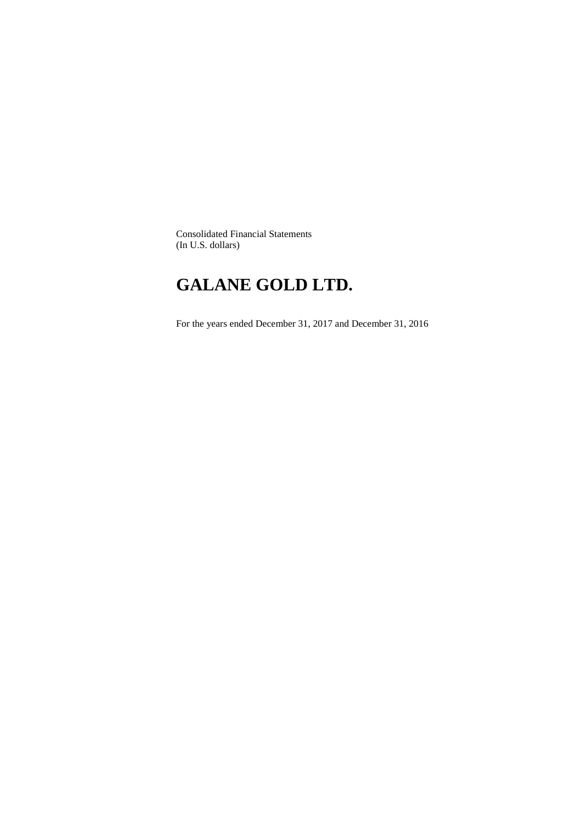Consolidated Financial Statements (In U.S. dollars)

# **GALANE GOLD LTD.**

For the years ended December 31, 2017 and December 31, 2016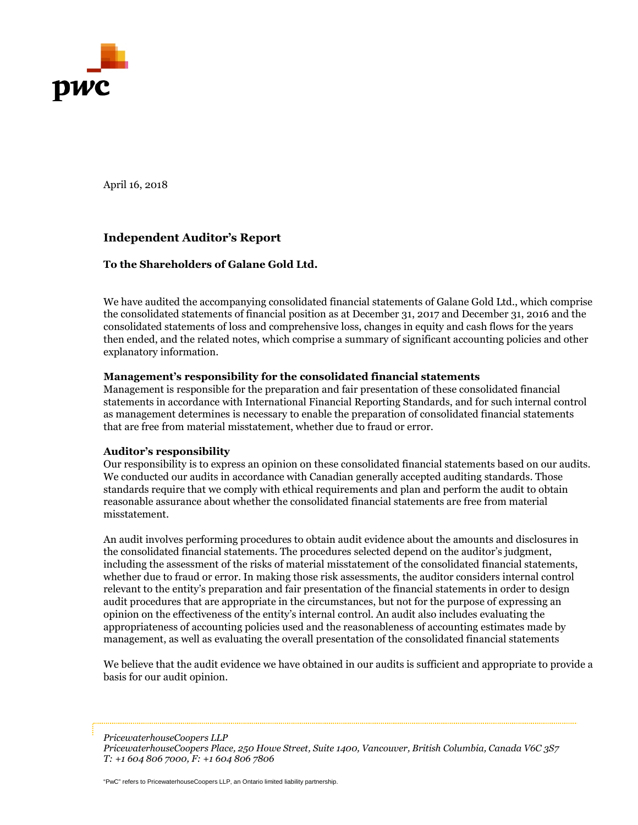

April 16, 2018

## **Independent Auditor's Report**

## **To the Shareholders of Galane Gold Ltd.**

We have audited the accompanying consolidated financial statements of Galane Gold Ltd., which comprise the consolidated statements of financial position as at December 31, 2017 and December 31, 2016 and the consolidated statements of loss and comprehensive loss, changes in equity and cash flows for the years then ended, and the related notes, which comprise a summary of significant accounting policies and other explanatory information.

## **Management's responsibility for the consolidated financial statements**

Management is responsible for the preparation and fair presentation of these consolidated financial statements in accordance with International Financial Reporting Standards, and for such internal control as management determines is necessary to enable the preparation of consolidated financial statements that are free from material misstatement, whether due to fraud or error.

## **Auditor's responsibility**

Our responsibility is to express an opinion on these consolidated financial statements based on our audits. We conducted our audits in accordance with Canadian generally accepted auditing standards. Those standards require that we comply with ethical requirements and plan and perform the audit to obtain reasonable assurance about whether the consolidated financial statements are free from material misstatement.

An audit involves performing procedures to obtain audit evidence about the amounts and disclosures in the consolidated financial statements. The procedures selected depend on the auditor's judgment, including the assessment of the risks of material misstatement of the consolidated financial statements, whether due to fraud or error. In making those risk assessments, the auditor considers internal control relevant to the entity's preparation and fair presentation of the financial statements in order to design audit procedures that are appropriate in the circumstances, but not for the purpose of expressing an opinion on the effectiveness of the entity's internal control. An audit also includes evaluating the appropriateness of accounting policies used and the reasonableness of accounting estimates made by management, as well as evaluating the overall presentation of the consolidated financial statements

We believe that the audit evidence we have obtained in our audits is sufficient and appropriate to provide a basis for our audit opinion.

*PricewaterhouseCoopers LLP*

"PwC" refers to PricewaterhouseCoopers LLP, an Ontario limited liability partnership.

*PricewaterhouseCoopers Place, 250 Howe Street, Suite 1400, Vancouver, British Columbia, Canada V6C 3S7 T: +1 604 806 7000, F: +1 604 806 7806*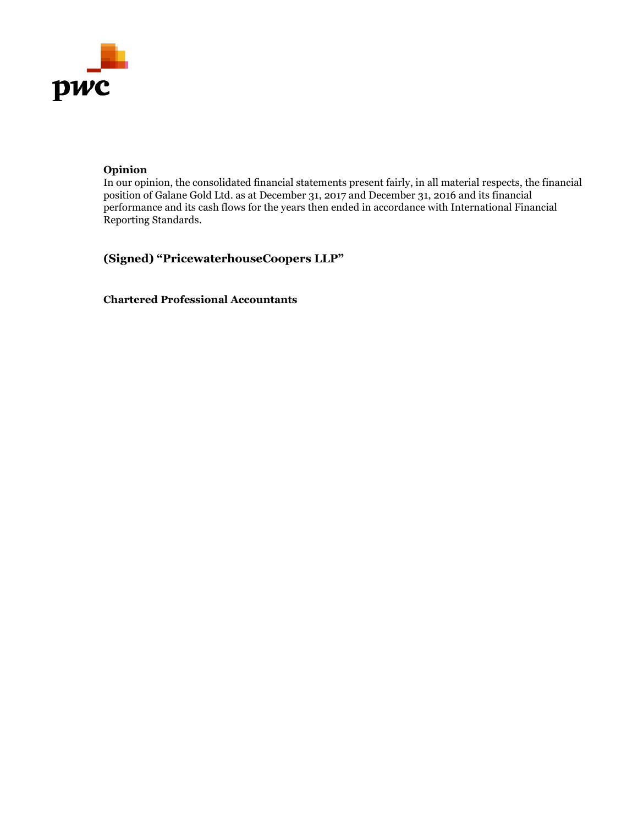

## **Opinion**

In our opinion, the consolidated financial statements present fairly, in all material respects, the financial position of Galane Gold Ltd. as at December 31, 2017 and December 31, 2016 and its financial performance and its cash flows for the years then ended in accordance with International Financial Reporting Standards.

**(Signed) "PricewaterhouseCoopers LLP"** 

**Chartered Professional Accountants**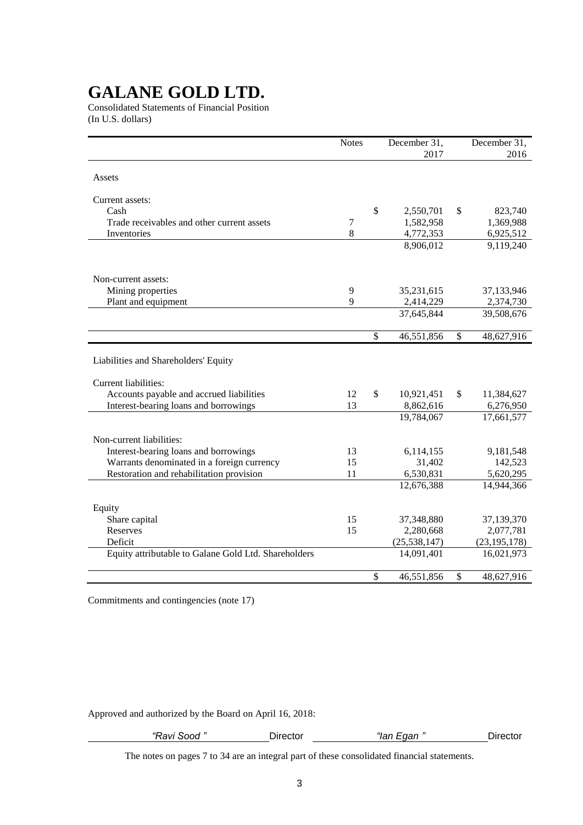Consolidated Statements of Financial Position (In U.S. dollars)

|                                                      | <b>Notes</b>     |              | December 31,   |               | December 31,   |
|------------------------------------------------------|------------------|--------------|----------------|---------------|----------------|
|                                                      |                  |              | 2017           |               | 2016           |
| Assets                                               |                  |              |                |               |                |
|                                                      |                  |              |                |               |                |
| Current assets:                                      |                  |              |                |               |                |
| Cash                                                 |                  | \$           | 2,550,701      | \$            | 823,740        |
| Trade receivables and other current assets           | $\boldsymbol{7}$ |              | 1,582,958      |               | 1,369,988      |
| Inventories                                          | 8                |              | 4,772,353      |               | 6,925,512      |
|                                                      |                  |              | 8,906,012      |               | 9,119,240      |
|                                                      |                  |              |                |               |                |
| Non-current assets:                                  |                  |              |                |               |                |
| Mining properties                                    | 9                |              | 35,231,615     |               | 37,133,946     |
| Plant and equipment                                  | 9                |              | 2,414,229      |               | 2,374,730      |
|                                                      |                  |              | 37,645,844     |               | 39,508,676     |
|                                                      |                  |              |                |               |                |
|                                                      |                  | $\mathbb{S}$ | 46,551,856     | $\mathcal{S}$ | 48,627,916     |
|                                                      |                  |              |                |               |                |
| Liabilities and Shareholders' Equity                 |                  |              |                |               |                |
|                                                      |                  |              |                |               |                |
| <b>Current liabilities:</b>                          |                  |              |                |               |                |
| Accounts payable and accrued liabilities             | 12               | \$           | 10,921,451     | \$            | 11,384,627     |
| Interest-bearing loans and borrowings                | 13               |              | 8,862,616      |               | 6,276,950      |
|                                                      |                  |              | 19,784,067     |               | 17,661,577     |
| Non-current liabilities:                             |                  |              |                |               |                |
| Interest-bearing loans and borrowings                | 13               |              | 6,114,155      |               | 9,181,548      |
| Warrants denominated in a foreign currency           | 15               |              | 31,402         |               | 142,523        |
| Restoration and rehabilitation provision             | 11               |              | 6,530,831      |               | 5,620,295      |
|                                                      |                  |              | 12,676,388     |               | 14,944,366     |
|                                                      |                  |              |                |               |                |
| Equity                                               |                  |              |                |               |                |
| Share capital                                        | 15               |              | 37,348,880     |               | 37,139,370     |
| Reserves                                             | 15               |              | 2,280,668      |               | 2,077,781      |
| Deficit                                              |                  |              | (25, 538, 147) |               | (23, 195, 178) |
| Equity attributable to Galane Gold Ltd. Shareholders |                  |              | 14,091,401     |               | 16,021,973     |
|                                                      |                  |              |                |               |                |
|                                                      |                  | \$           | 46,551,856     | \$            | 48,627,916     |

Commitments and contingencies (note 17)

Approved and authorized by the Board on April 16, 2018:

| Ravi Sood " | _qan "<br>"lan |  |
|-------------|----------------|--|
|             |                |  |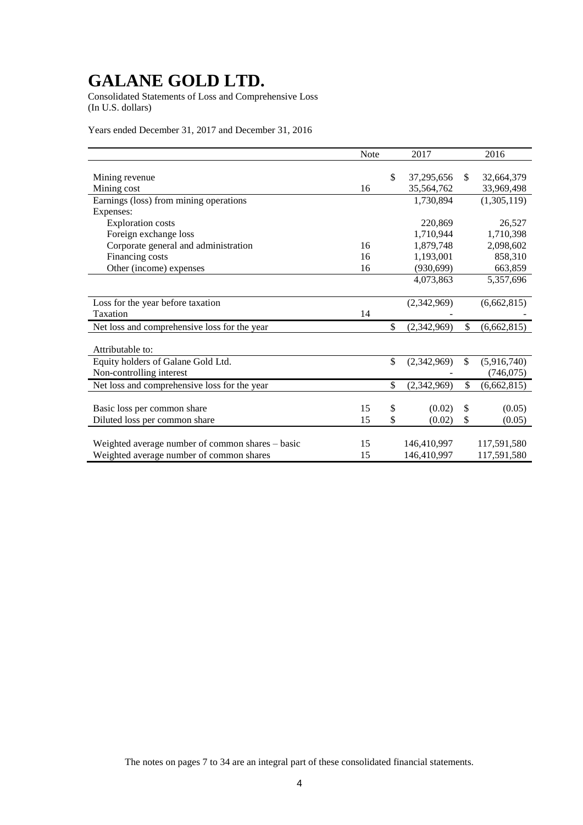Consolidated Statements of Loss and Comprehensive Loss (In U.S. dollars)

Years ended December 31, 2017 and December 31, 2016

|                                                  | <b>Note</b> | 2017              | 2016              |
|--------------------------------------------------|-------------|-------------------|-------------------|
|                                                  |             |                   |                   |
| Mining revenue                                   |             | \$<br>37,295,656  | \$<br>32,664,379  |
| Mining cost                                      | 16          | 35,564,762        | 33,969,498        |
| Earnings (loss) from mining operations           |             | 1,730,894         | (1,305,119)       |
| Expenses:                                        |             |                   |                   |
| <b>Exploration costs</b>                         |             | 220,869           | 26,527            |
| Foreign exchange loss                            |             | 1,710,944         | 1,710,398         |
| Corporate general and administration             | 16          | 1,879,748         | 2,098,602         |
| Financing costs                                  | 16          | 1,193,001         | 858,310           |
| Other (income) expenses                          | 16          | (930, 699)        | 663,859           |
|                                                  |             | 4,073,863         | 5,357,696         |
|                                                  |             |                   |                   |
| Loss for the year before taxation                |             | (2,342,969)       | (6,662,815)       |
| Taxation                                         | 14          |                   |                   |
| Net loss and comprehensive loss for the year     |             | \$<br>(2,342,969) | \$<br>(6,662,815) |
|                                                  |             |                   |                   |
| Attributable to:                                 |             |                   |                   |
| Equity holders of Galane Gold Ltd.               |             | \$<br>(2,342,969) | \$<br>(5,916,740) |
| Non-controlling interest                         |             |                   | (746, 075)        |
| Net loss and comprehensive loss for the year     |             | \$<br>(2,342,969) | \$<br>(6,662,815) |
|                                                  |             |                   |                   |
| Basic loss per common share                      | 15          | \$<br>(0.02)      | \$<br>(0.05)      |
| Diluted loss per common share                    | 15          | \$<br>(0.02)      | \$<br>(0.05)      |
|                                                  |             |                   |                   |
| Weighted average number of common shares – basic | 15          | 146,410,997       | 117,591,580       |
| Weighted average number of common shares         | 15          | 146,410,997       | 117,591,580       |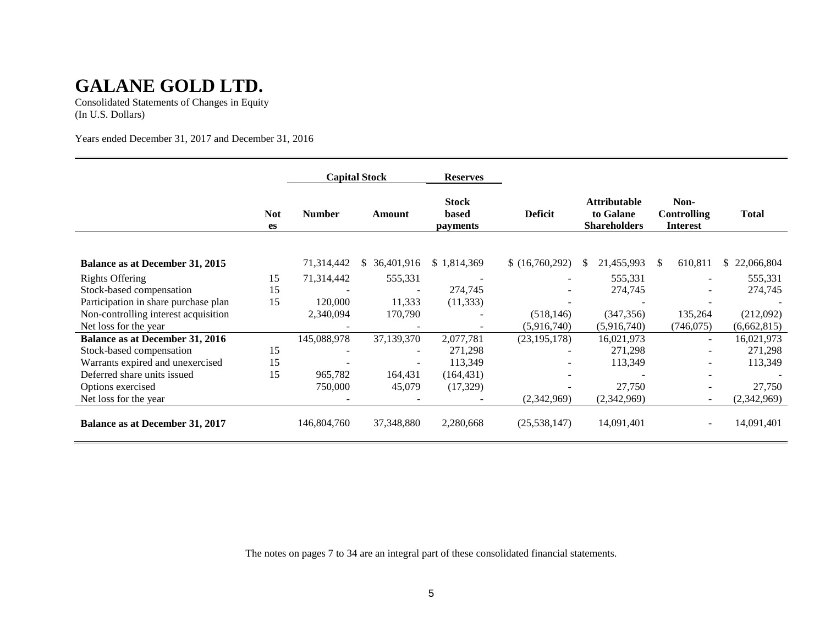Consolidated Statements of Changes in Equity (In U.S. Dollars)

Years ended December 31, 2017 and December 31, 2016

|                                        |                         | <b>Capital Stock</b><br><b>Reserves</b> |                  |                                                            |                |                                                         |                                               |                  |
|----------------------------------------|-------------------------|-----------------------------------------|------------------|------------------------------------------------------------|----------------|---------------------------------------------------------|-----------------------------------------------|------------------|
|                                        | <b>Not</b><br><b>es</b> | <b>Number</b>                           | Amount           | <b>Stock</b><br><b>Deficit</b><br><b>based</b><br>payments |                | <b>Attributable</b><br>to Galane<br><b>Shareholders</b> | Non-<br><b>Controlling</b><br><b>Interest</b> | <b>Total</b>     |
|                                        |                         |                                         |                  |                                                            |                |                                                         |                                               |                  |
| <b>Balance as at December 31, 2015</b> |                         | 71,314,442                              | 36,401,916<br>S. | \$1,814,369                                                | (16,760,292)   | 21,455,993                                              | 610,811                                       | 22,066,804<br>S. |
| <b>Rights Offering</b>                 | 15                      | 71,314,442                              | 555,331          |                                                            |                | 555,331                                                 |                                               | 555,331          |
| Stock-based compensation               | 15                      |                                         |                  | 274,745                                                    |                | 274,745                                                 |                                               | 274,745          |
| Participation in share purchase plan   | 15                      | 120,000                                 | 11,333           | (11, 333)                                                  |                |                                                         |                                               |                  |
| Non-controlling interest acquisition   |                         | 2,340,094                               | 170,790          |                                                            | (518, 146)     | (347, 356)                                              | 135,264                                       | (212,092)        |
| Net loss for the year                  |                         |                                         |                  |                                                            | (5,916,740)    | (5,916,740)                                             | (746, 075)                                    | (6,662,815)      |
| <b>Balance as at December 31, 2016</b> |                         | 145,088,978                             | 37,139,370       | 2,077,781                                                  | (23, 195, 178) | 16,021,973                                              | $\sim$                                        | 16,021,973       |
| Stock-based compensation               | 15                      |                                         |                  | 271,298                                                    |                | 271,298                                                 |                                               | 271,298          |
| Warrants expired and unexercised       | 15                      |                                         |                  | 113,349                                                    |                | 113,349                                                 |                                               | 113,349          |
| Deferred share units issued            | 15                      | 965,782                                 | 164,431          | (164, 431)                                                 |                |                                                         |                                               |                  |
| Options exercised                      |                         | 750,000                                 | 45,079           | (17, 329)                                                  |                | 27,750                                                  |                                               | 27,750           |
| Net loss for the year                  |                         |                                         |                  |                                                            | (2,342,969)    | (2,342,969)                                             |                                               | (2,342,969)      |
| <b>Balance as at December 31, 2017</b> |                         | 146,804,760                             | 37,348,880       | 2,280,668                                                  | (25, 538, 147) | 14,091,401                                              |                                               | 14,091,401       |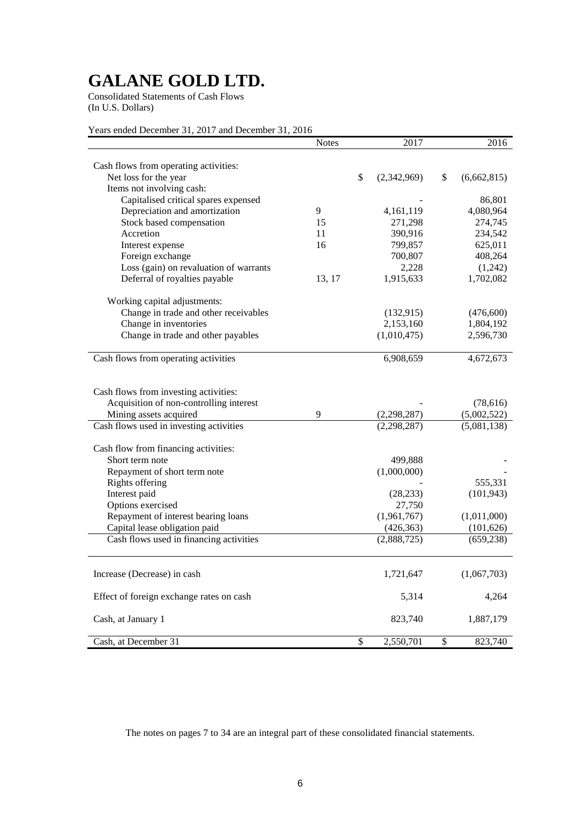Consolidated Statements of Cash Flows (In U.S. Dollars)

Years ended December 31, 2017 and December 31, 2016

|                                                                       | <b>Notes</b> | 2017             | 2016              |
|-----------------------------------------------------------------------|--------------|------------------|-------------------|
|                                                                       |              |                  |                   |
| Cash flows from operating activities:                                 |              | \$               |                   |
| Net loss for the year<br>Items not involving cash:                    |              | (2,342,969)      | \$<br>(6,662,815) |
|                                                                       |              |                  | 86,801            |
| Capitalised critical spares expensed<br>Depreciation and amortization | 9            | 4,161,119        | 4,080,964         |
| Stock based compensation                                              | 15           | 271,298          | 274,745           |
| Accretion                                                             | 11           | 390,916          | 234,542           |
|                                                                       | 16           | 799,857          |                   |
| Interest expense                                                      |              |                  | 625,011           |
| Foreign exchange                                                      |              | 700,807<br>2,228 | 408,264           |
| Loss (gain) on revaluation of warrants                                |              |                  | (1,242)           |
| Deferral of royalties payable                                         | 13, 17       | 1,915,633        | 1,702,082         |
| Working capital adjustments:                                          |              |                  |                   |
| Change in trade and other receivables                                 |              | (132, 915)       | (476,600)         |
| Change in inventories                                                 |              | 2,153,160        | 1,804,192         |
| Change in trade and other payables                                    |              | (1,010,475)      | 2,596,730         |
|                                                                       |              |                  |                   |
| Cash flows from operating activities                                  |              | 6,908,659        | 4,672,673         |
|                                                                       |              |                  |                   |
| Cash flows from investing activities:                                 |              |                  |                   |
| Acquisition of non-controlling interest                               |              |                  | (78, 616)         |
| Mining assets acquired                                                | 9            | (2, 298, 287)    | (5,002,522)       |
| Cash flows used in investing activities                               |              | (2, 298, 287)    | (5,081,138)       |
|                                                                       |              |                  |                   |
| Cash flow from financing activities:                                  |              |                  |                   |
| Short term note                                                       |              | 499,888          |                   |
| Repayment of short term note                                          |              | (1,000,000)      |                   |
| <b>Rights offering</b>                                                |              |                  | 555,331           |
| Interest paid                                                         |              | (28, 233)        | (101, 943)        |
| Options exercised                                                     |              | 27,750           |                   |
| Repayment of interest bearing loans                                   |              | (1,961,767)      | (1,011,000)       |
| Capital lease obligation paid                                         |              | (426, 363)       | (101, 626)        |
| Cash flows used in financing activities                               |              | (2,888,725)      | (659, 238)        |
|                                                                       |              |                  |                   |
| Increase (Decrease) in cash                                           |              | 1,721,647        | (1,067,703)       |
|                                                                       |              |                  |                   |
| Effect of foreign exchange rates on cash                              |              | 5,314            | 4,264             |
|                                                                       |              |                  |                   |
| Cash, at January 1                                                    |              | 823,740          | 1,887,179         |
| Cash, at December 31                                                  |              | \$<br>2,550,701  | \$<br>823,740     |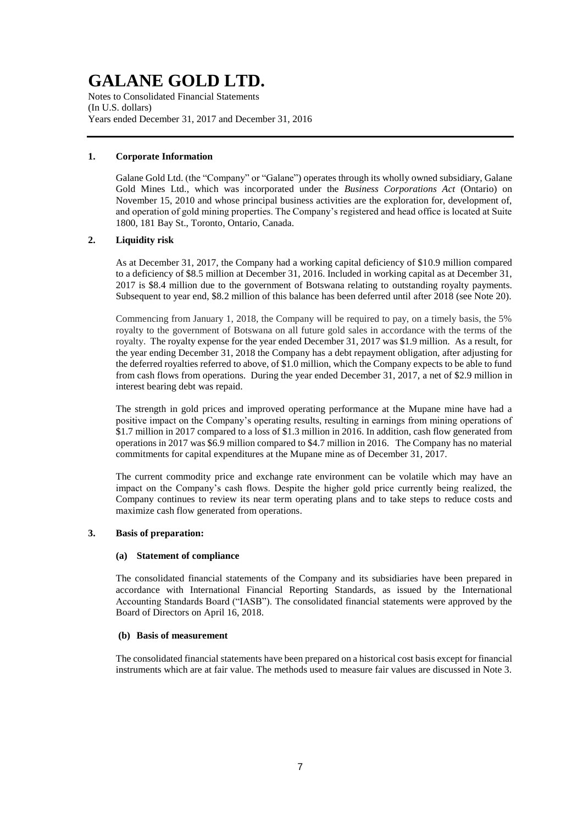Notes to Consolidated Financial Statements (In U.S. dollars) Years ended December 31, 2017 and December 31, 2016

## **1. Corporate Information**

Galane Gold Ltd. (the "Company" or "Galane") operates through its wholly owned subsidiary, Galane Gold Mines Ltd., which was incorporated under the *Business Corporations Act* (Ontario) on November 15, 2010 and whose principal business activities are the exploration for, development of, and operation of gold mining properties. The Company's registered and head office is located at Suite 1800, 181 Bay St., Toronto, Ontario, Canada.

## **2. Liquidity risk**

As at December 31, 2017, the Company had a working capital deficiency of \$10.9 million compared to a deficiency of \$8.5 million at December 31, 2016. Included in working capital as at December 31, 2017 is \$8.4 million due to the government of Botswana relating to outstanding royalty payments. Subsequent to year end, \$8.2 million of this balance has been deferred until after 2018 (see Note 20).

Commencing from January 1, 2018, the Company will be required to pay, on a timely basis, the 5% royalty to the government of Botswana on all future gold sales in accordance with the terms of the royalty. The royalty expense for the year ended December 31, 2017 was \$1.9 million. As a result, for the year ending December 31, 2018 the Company has a debt repayment obligation, after adjusting for the deferred royalties referred to above, of \$1.0 million, which the Company expects to be able to fund from cash flows from operations. During the year ended December 31, 2017, a net of \$2.9 million in interest bearing debt was repaid.

The strength in gold prices and improved operating performance at the Mupane mine have had a positive impact on the Company's operating results, resulting in earnings from mining operations of \$1.7 million in 2017 compared to a loss of \$1.3 million in 2016. In addition, cash flow generated from operations in 2017 was \$6.9 million compared to \$4.7 million in 2016. The Company has no material commitments for capital expenditures at the Mupane mine as of December 31, 2017.

The current commodity price and exchange rate environment can be volatile which may have an impact on the Company's cash flows. Despite the higher gold price currently being realized, the Company continues to review its near term operating plans and to take steps to reduce costs and maximize cash flow generated from operations.

### **3. Basis of preparation:**

#### **(a) Statement of compliance**

The consolidated financial statements of the Company and its subsidiaries have been prepared in accordance with International Financial Reporting Standards, as issued by the International Accounting Standards Board ("IASB"). The consolidated financial statements were approved by the Board of Directors on April 16, 2018.

### **(b) Basis of measurement**

The consolidated financial statements have been prepared on a historical cost basis except for financial instruments which are at fair value. The methods used to measure fair values are discussed in Note 3.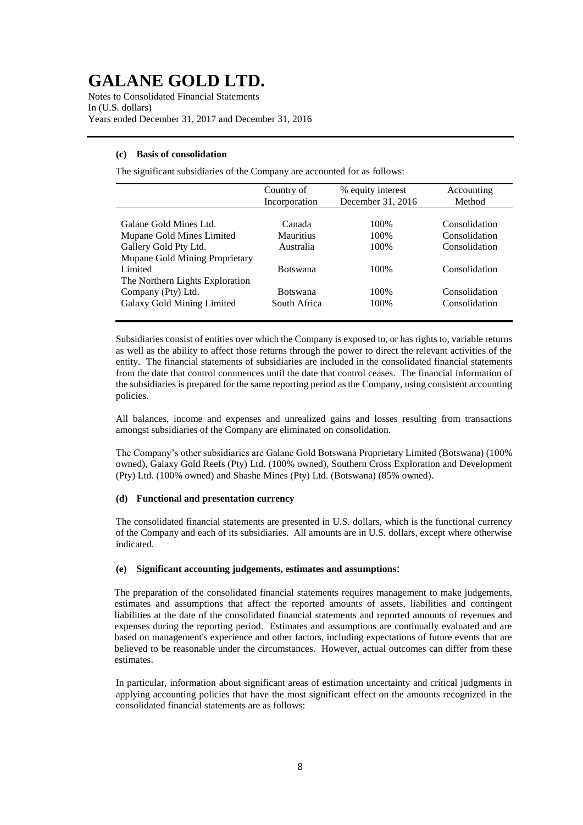Notes to Consolidated Financial Statements In (U.S. dollars) Years ended December 31, 2017 and December 31, 2016

## **(c) Basis of consolidation**

The significant subsidiaries of the Company are accounted for as follows:

|                                 | Country of<br>Incorporation | % equity interest<br>December 31, 2016 | Accounting<br>Method |
|---------------------------------|-----------------------------|----------------------------------------|----------------------|
|                                 |                             |                                        |                      |
| Galane Gold Mines Ltd.          | Canada                      | 100\%                                  | Consolidation        |
| Mupane Gold Mines Limited       | Mauritius                   | 100\%                                  | Consolidation        |
| Gallery Gold Pty Ltd.           | Australia                   | 100%                                   | Consolidation        |
| Mupane Gold Mining Proprietary  |                             |                                        |                      |
| Limited                         | <b>Botswana</b>             | 100%                                   | Consolidation        |
| The Northern Lights Exploration |                             |                                        |                      |
| Company (Pty) Ltd.              | <b>Botswana</b>             | 100%                                   | Consolidation        |
| Galaxy Gold Mining Limited      | South Africa                | 100%                                   | Consolidation        |
|                                 |                             |                                        |                      |

Subsidiaries consist of entities over which the Company is exposed to, or has rights to, variable returns as well as the ability to affect those returns through the power to direct the relevant activities of the entity. The financial statements of subsidiaries are included in the consolidated financial statements from the date that control commences until the date that control ceases. The financial information of the subsidiaries is prepared for the same reporting period as the Company, using consistent accounting policies.

All balances, income and expenses and unrealized gains and losses resulting from transactions amongst subsidiaries of the Company are eliminated on consolidation.

The Company's other subsidiaries are Galane Gold Botswana Proprietary Limited (Botswana) (100% owned), Galaxy Gold Reefs (Pty) Ltd. (100% owned), Southern Cross Exploration and Development (Pty) Ltd. (100% owned) and Shashe Mines (Pty) Ltd. (Botswana) (85% owned).

## **(d) Functional and presentation currency**

The consolidated financial statements are presented in U.S. dollars, which is the functional currency of the Company and each of its subsidiaries. All amounts are in U.S. dollars, except where otherwise indicated.

#### **(e) Significant accounting judgements, estimates and assumptions**:

The preparation of the consolidated financial statements requires management to make judgements, estimates and assumptions that affect the reported amounts of assets, liabilities and contingent liabilities at the date of the consolidated financial statements and reported amounts of revenues and expenses during the reporting period. Estimates and assumptions are continually evaluated and are based on management's experience and other factors, including expectations of future events that are believed to be reasonable under the circumstances. However, actual outcomes can differ from these estimates.

In particular, information about significant areas of estimation uncertainty and critical judgments in applying accounting policies that have the most significant effect on the amounts recognized in the consolidated financial statements are as follows: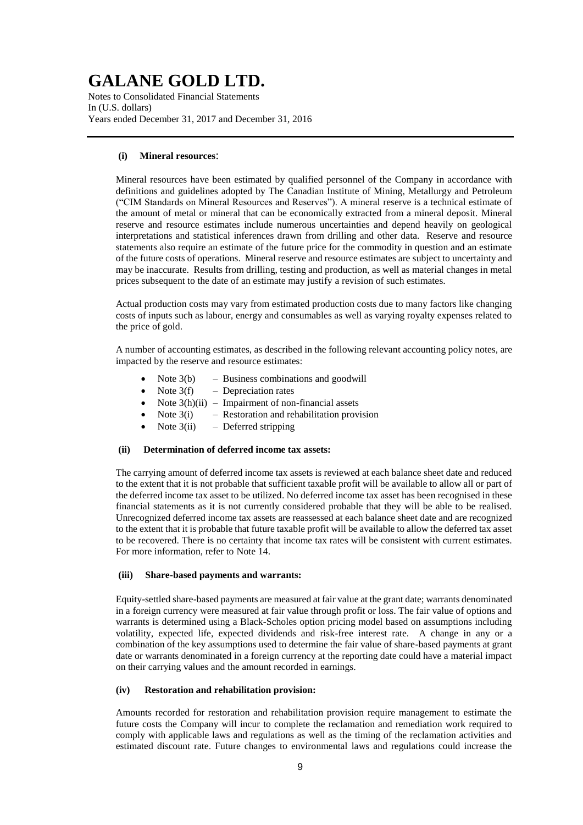Notes to Consolidated Financial Statements In (U.S. dollars) Years ended December 31, 2017 and December 31, 2016

### **(i) Mineral resources**:

Mineral resources have been estimated by qualified personnel of the Company in accordance with definitions and guidelines adopted by The Canadian Institute of Mining, Metallurgy and Petroleum ("CIM Standards on Mineral Resources and Reserves"). A mineral reserve is a technical estimate of the amount of metal or mineral that can be economically extracted from a mineral deposit. Mineral reserve and resource estimates include numerous uncertainties and depend heavily on geological interpretations and statistical inferences drawn from drilling and other data. Reserve and resource statements also require an estimate of the future price for the commodity in question and an estimate of the future costs of operations. Mineral reserve and resource estimates are subject to uncertainty and may be inaccurate. Results from drilling, testing and production, as well as material changes in metal prices subsequent to the date of an estimate may justify a revision of such estimates.

Actual production costs may vary from estimated production costs due to many factors like changing costs of inputs such as labour, energy and consumables as well as varying royalty expenses related to the price of gold.

A number of accounting estimates, as described in the following relevant accounting policy notes, are impacted by the reserve and resource estimates:

- Note  $3(b)$  Business combinations and goodwill
- Note  $3(f)$  Depreciation rates
- Note  $3(h)(ii)$  Impairment of non-financial assets
- Note  $3(i)$  Restoration and rehabilitation provision
- Note  $3(ii)$  Deferred stripping

#### **(ii) Determination of deferred income tax assets:**

The carrying amount of deferred income tax assets is reviewed at each balance sheet date and reduced to the extent that it is not probable that sufficient taxable profit will be available to allow all or part of the deferred income tax asset to be utilized. No deferred income tax asset has been recognised in these financial statements as it is not currently considered probable that they will be able to be realised. Unrecognized deferred income tax assets are reassessed at each balance sheet date and are recognized to the extent that it is probable that future taxable profit will be available to allow the deferred tax asset to be recovered. There is no certainty that income tax rates will be consistent with current estimates. For more information, refer to Note 14.

### **(iii) Share-based payments and warrants:**

Equity-settled share-based payments are measured at fair value at the grant date; warrants denominated in a foreign currency were measured at fair value through profit or loss. The fair value of options and warrants is determined using a Black-Scholes option pricing model based on assumptions including volatility, expected life, expected dividends and risk-free interest rate. A change in any or a combination of the key assumptions used to determine the fair value of share-based payments at grant date or warrants denominated in a foreign currency at the reporting date could have a material impact on their carrying values and the amount recorded in earnings.

## **(iv) Restoration and rehabilitation provision:**

Amounts recorded for restoration and rehabilitation provision require management to estimate the future costs the Company will incur to complete the reclamation and remediation work required to comply with applicable laws and regulations as well as the timing of the reclamation activities and estimated discount rate. Future changes to environmental laws and regulations could increase the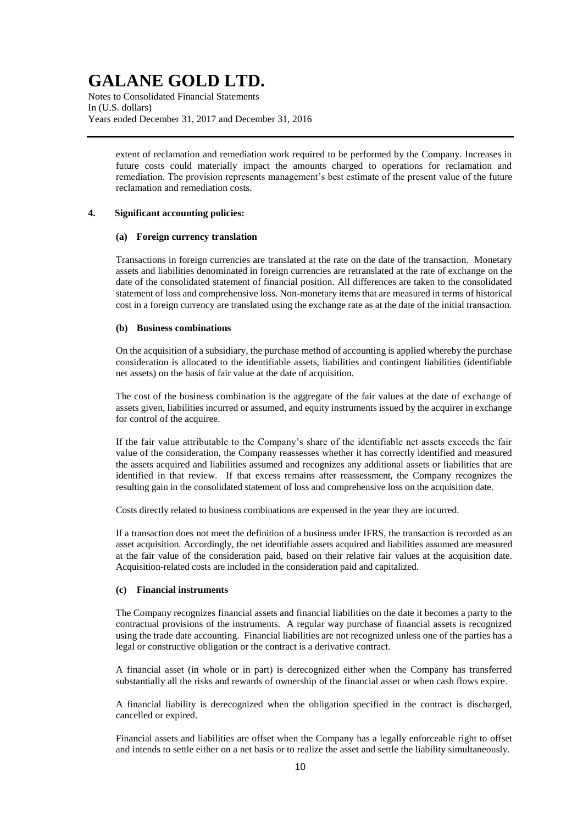Notes to Consolidated Financial Statements In (U.S. dollars) Years ended December 31, 2017 and December 31, 2016

> extent of reclamation and remediation work required to be performed by the Company. Increases in future costs could materially impact the amounts charged to operations for reclamation and remediation. The provision represents management's best estimate of the present value of the future reclamation and remediation costs.

## **4. Significant accounting policies:**

### **(a) Foreign currency translation**

Transactions in foreign currencies are translated at the rate on the date of the transaction. Monetary assets and liabilities denominated in foreign currencies are retranslated at the rate of exchange on the date of the consolidated statement of financial position. All differences are taken to the consolidated statement of loss and comprehensive loss. Non-monetary items that are measured in terms of historical cost in a foreign currency are translated using the exchange rate as at the date of the initial transaction.

### **(b) Business combinations**

On the acquisition of a subsidiary, the purchase method of accounting is applied whereby the purchase consideration is allocated to the identifiable assets, liabilities and contingent liabilities (identifiable net assets) on the basis of fair value at the date of acquisition.

The cost of the business combination is the aggregate of the fair values at the date of exchange of assets given, liabilities incurred or assumed, and equity instruments issued by the acquirer in exchange for control of the acquiree.

If the fair value attributable to the Company's share of the identifiable net assets exceeds the fair value of the consideration, the Company reassesses whether it has correctly identified and measured the assets acquired and liabilities assumed and recognizes any additional assets or liabilities that are identified in that review. If that excess remains after reassessment, the Company recognizes the resulting gain in the consolidated statement of loss and comprehensive loss on the acquisition date.

Costs directly related to business combinations are expensed in the year they are incurred.

If a transaction does not meet the definition of a business under IFRS, the transaction is recorded as an asset acquisition. Accordingly, the net identifiable assets acquired and liabilities assumed are measured at the fair value of the consideration paid, based on their relative fair values at the acquisition date. Acquisition-related costs are included in the consideration paid and capitalized.

## **(c) Financial instruments**

The Company recognizes financial assets and financial liabilities on the date it becomes a party to the contractual provisions of the instruments. A regular way purchase of financial assets is recognized using the trade date accounting. Financial liabilities are not recognized unless one of the parties has a legal or constructive obligation or the contract is a derivative contract.

A financial asset (in whole or in part) is derecognized either when the Company has transferred substantially all the risks and rewards of ownership of the financial asset or when cash flows expire.

A financial liability is derecognized when the obligation specified in the contract is discharged, cancelled or expired.

Financial assets and liabilities are offset when the Company has a legally enforceable right to offset and intends to settle either on a net basis or to realize the asset and settle the liability simultaneously.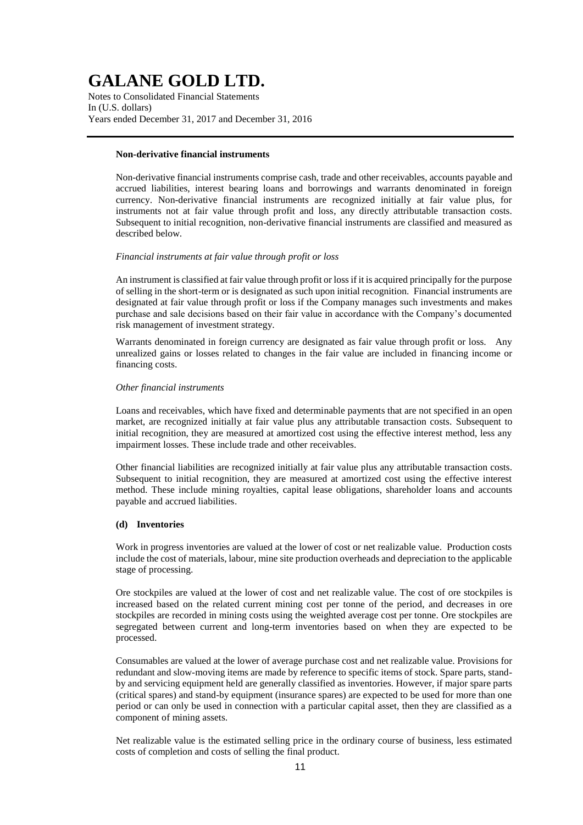Notes to Consolidated Financial Statements In (U.S. dollars) Years ended December 31, 2017 and December 31, 2016

## **Non-derivative financial instruments**

Non-derivative financial instruments comprise cash, trade and other receivables, accounts payable and accrued liabilities, interest bearing loans and borrowings and warrants denominated in foreign currency. Non-derivative financial instruments are recognized initially at fair value plus, for instruments not at fair value through profit and loss, any directly attributable transaction costs. Subsequent to initial recognition, non-derivative financial instruments are classified and measured as described below.

## *Financial instruments at fair value through profit or loss*

An instrument is classified at fair value through profit or loss if it is acquired principally for the purpose of selling in the short-term or is designated as such upon initial recognition. Financial instruments are designated at fair value through profit or loss if the Company manages such investments and makes purchase and sale decisions based on their fair value in accordance with the Company's documented risk management of investment strategy.

Warrants denominated in foreign currency are designated as fair value through profit or loss. Any unrealized gains or losses related to changes in the fair value are included in financing income or financing costs.

#### *Other financial instruments*

Loans and receivables, which have fixed and determinable payments that are not specified in an open market, are recognized initially at fair value plus any attributable transaction costs. Subsequent to initial recognition, they are measured at amortized cost using the effective interest method, less any impairment losses. These include trade and other receivables.

Other financial liabilities are recognized initially at fair value plus any attributable transaction costs. Subsequent to initial recognition, they are measured at amortized cost using the effective interest method. These include mining royalties, capital lease obligations, shareholder loans and accounts payable and accrued liabilities.

### **(d) Inventories**

Work in progress inventories are valued at the lower of cost or net realizable value. Production costs include the cost of materials, labour, mine site production overheads and depreciation to the applicable stage of processing.

Ore stockpiles are valued at the lower of cost and net realizable value. The cost of ore stockpiles is increased based on the related current mining cost per tonne of the period, and decreases in ore stockpiles are recorded in mining costs using the weighted average cost per tonne. Ore stockpiles are segregated between current and long-term inventories based on when they are expected to be processed.

Consumables are valued at the lower of average purchase cost and net realizable value. Provisions for redundant and slow-moving items are made by reference to specific items of stock. Spare parts, standby and servicing equipment held are generally classified as inventories. However, if major spare parts (critical spares) and stand-by equipment (insurance spares) are expected to be used for more than one period or can only be used in connection with a particular capital asset, then they are classified as a component of mining assets.

Net realizable value is the estimated selling price in the ordinary course of business, less estimated costs of completion and costs of selling the final product.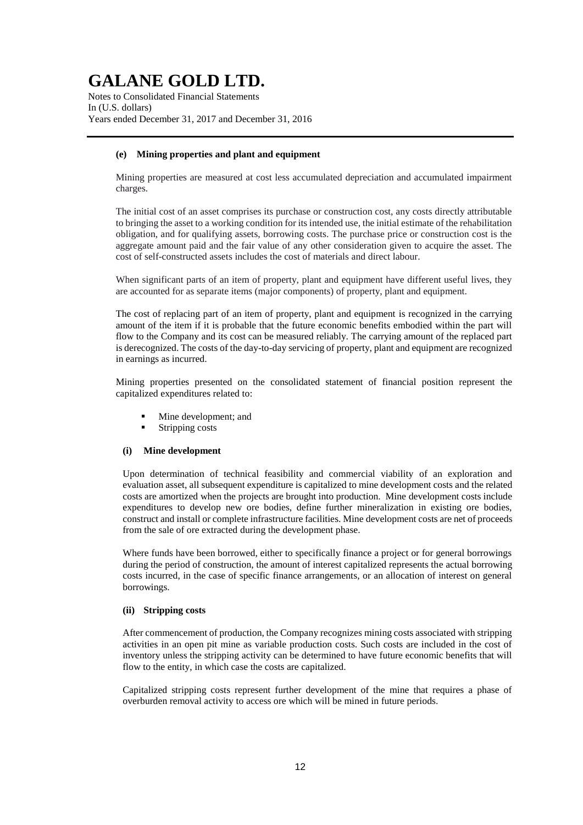Notes to Consolidated Financial Statements In (U.S. dollars) Years ended December 31, 2017 and December 31, 2016

## **(e) Mining properties and plant and equipment**

Mining properties are measured at cost less accumulated depreciation and accumulated impairment charges.

The initial cost of an asset comprises its purchase or construction cost, any costs directly attributable to bringing the asset to a working condition for its intended use, the initial estimate of the rehabilitation obligation, and for qualifying assets, borrowing costs. The purchase price or construction cost is the aggregate amount paid and the fair value of any other consideration given to acquire the asset. The cost of self-constructed assets includes the cost of materials and direct labour.

When significant parts of an item of property, plant and equipment have different useful lives, they are accounted for as separate items (major components) of property, plant and equipment.

The cost of replacing part of an item of property, plant and equipment is recognized in the carrying amount of the item if it is probable that the future economic benefits embodied within the part will flow to the Company and its cost can be measured reliably. The carrying amount of the replaced part is derecognized. The costs of the day-to-day servicing of property, plant and equipment are recognized in earnings as incurred.

Mining properties presented on the consolidated statement of financial position represent the capitalized expenditures related to:

- Mine development; and
- Stripping costs

#### **(i) Mine development**

Upon determination of technical feasibility and commercial viability of an exploration and evaluation asset, all subsequent expenditure is capitalized to mine development costs and the related costs are amortized when the projects are brought into production. Mine development costs include expenditures to develop new ore bodies, define further mineralization in existing ore bodies, construct and install or complete infrastructure facilities. Mine development costs are net of proceeds from the sale of ore extracted during the development phase.

Where funds have been borrowed, either to specifically finance a project or for general borrowings during the period of construction, the amount of interest capitalized represents the actual borrowing costs incurred, in the case of specific finance arrangements, or an allocation of interest on general borrowings.

#### **(ii) Stripping costs**

After commencement of production, the Company recognizes mining costs associated with stripping activities in an open pit mine as variable production costs. Such costs are included in the cost of inventory unless the stripping activity can be determined to have future economic benefits that will flow to the entity, in which case the costs are capitalized.

Capitalized stripping costs represent further development of the mine that requires a phase of overburden removal activity to access ore which will be mined in future periods.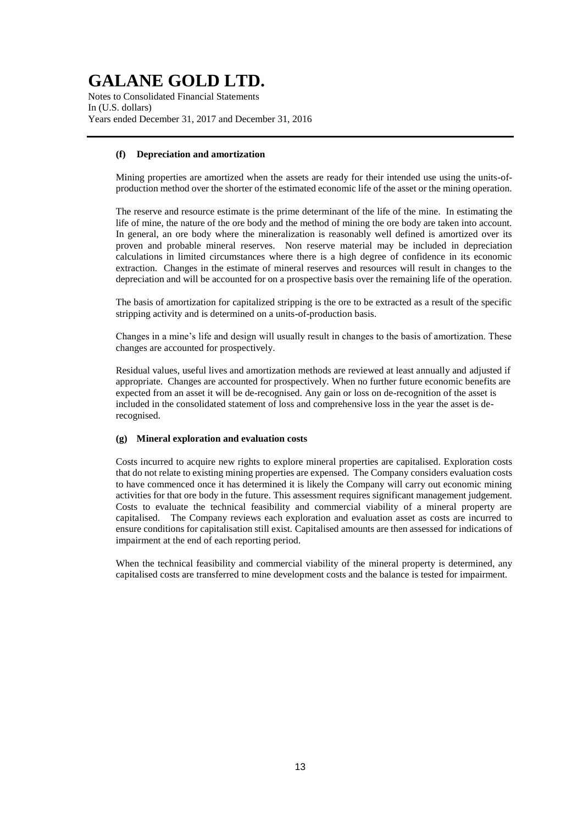Notes to Consolidated Financial Statements In (U.S. dollars) Years ended December 31, 2017 and December 31, 2016

## **(f) Depreciation and amortization**

Mining properties are amortized when the assets are ready for their intended use using the units-ofproduction method over the shorter of the estimated economic life of the asset or the mining operation.

The reserve and resource estimate is the prime determinant of the life of the mine. In estimating the life of mine, the nature of the ore body and the method of mining the ore body are taken into account. In general, an ore body where the mineralization is reasonably well defined is amortized over its proven and probable mineral reserves. Non reserve material may be included in depreciation calculations in limited circumstances where there is a high degree of confidence in its economic extraction. Changes in the estimate of mineral reserves and resources will result in changes to the depreciation and will be accounted for on a prospective basis over the remaining life of the operation.

The basis of amortization for capitalized stripping is the ore to be extracted as a result of the specific stripping activity and is determined on a units-of-production basis.

Changes in a mine's life and design will usually result in changes to the basis of amortization. These changes are accounted for prospectively.

Residual values, useful lives and amortization methods are reviewed at least annually and adjusted if appropriate. Changes are accounted for prospectively. When no further future economic benefits are expected from an asset it will be de-recognised. Any gain or loss on de-recognition of the asset is included in the consolidated statement of loss and comprehensive loss in the year the asset is derecognised.

#### **(g) Mineral exploration and evaluation costs**

Costs incurred to acquire new rights to explore mineral properties are capitalised. Exploration costs that do not relate to existing mining properties are expensed. The Company considers evaluation costs to have commenced once it has determined it is likely the Company will carry out economic mining activities for that ore body in the future. This assessment requires significant management judgement. Costs to evaluate the technical feasibility and commercial viability of a mineral property are capitalised. The Company reviews each exploration and evaluation asset as costs are incurred to ensure conditions for capitalisation still exist. Capitalised amounts are then assessed for indications of impairment at the end of each reporting period.

When the technical feasibility and commercial viability of the mineral property is determined, any capitalised costs are transferred to mine development costs and the balance is tested for impairment.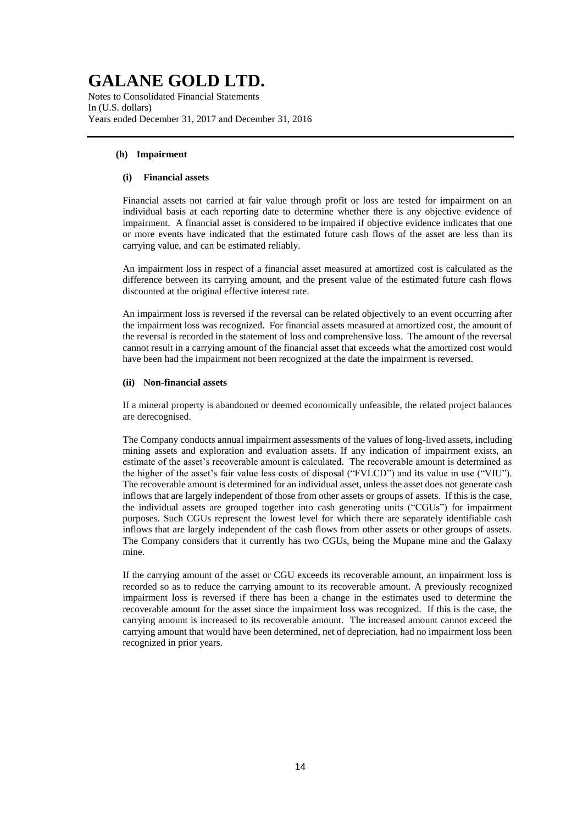Notes to Consolidated Financial Statements In (U.S. dollars) Years ended December 31, 2017 and December 31, 2016

## **(h) Impairment**

### **(i) Financial assets**

Financial assets not carried at fair value through profit or loss are tested for impairment on an individual basis at each reporting date to determine whether there is any objective evidence of impairment. A financial asset is considered to be impaired if objective evidence indicates that one or more events have indicated that the estimated future cash flows of the asset are less than its carrying value, and can be estimated reliably.

An impairment loss in respect of a financial asset measured at amortized cost is calculated as the difference between its carrying amount, and the present value of the estimated future cash flows discounted at the original effective interest rate.

An impairment loss is reversed if the reversal can be related objectively to an event occurring after the impairment loss was recognized. For financial assets measured at amortized cost, the amount of the reversal is recorded in the statement of loss and comprehensive loss. The amount of the reversal cannot result in a carrying amount of the financial asset that exceeds what the amortized cost would have been had the impairment not been recognized at the date the impairment is reversed.

### **(ii) Non-financial assets**

If a mineral property is abandoned or deemed economically unfeasible, the related project balances are derecognised.

The Company conducts annual impairment assessments of the values of long-lived assets, including mining assets and exploration and evaluation assets. If any indication of impairment exists, an estimate of the asset's recoverable amount is calculated. The recoverable amount is determined as the higher of the asset's fair value less costs of disposal ("FVLCD") and its value in use ("VIU"). The recoverable amount is determined for an individual asset, unless the asset does not generate cash inflows that are largely independent of those from other assets or groups of assets. If this is the case, the individual assets are grouped together into cash generating units ("CGUs") for impairment purposes. Such CGUs represent the lowest level for which there are separately identifiable cash inflows that are largely independent of the cash flows from other assets or other groups of assets. The Company considers that it currently has two CGUs, being the Mupane mine and the Galaxy mine.

If the carrying amount of the asset or CGU exceeds its recoverable amount, an impairment loss is recorded so as to reduce the carrying amount to its recoverable amount. A previously recognized impairment loss is reversed if there has been a change in the estimates used to determine the recoverable amount for the asset since the impairment loss was recognized. If this is the case, the carrying amount is increased to its recoverable amount. The increased amount cannot exceed the carrying amount that would have been determined, net of depreciation, had no impairment loss been recognized in prior years.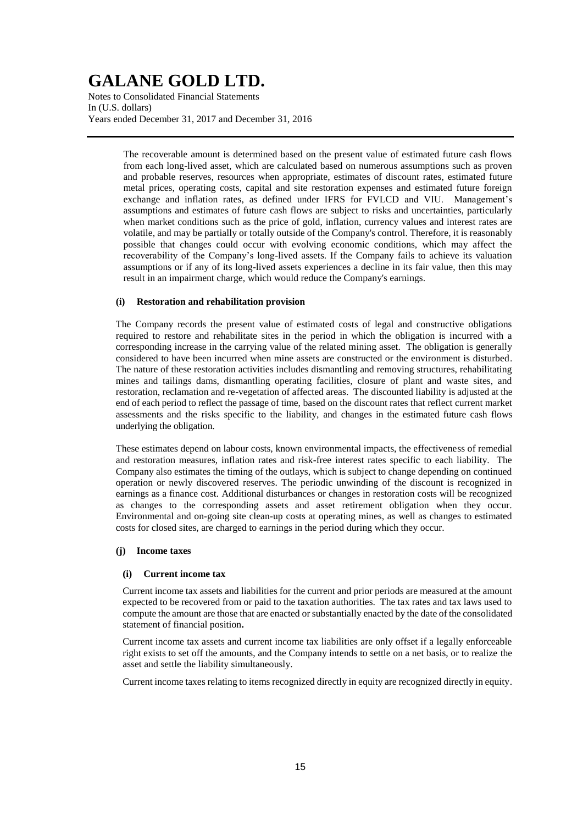Notes to Consolidated Financial Statements In (U.S. dollars) Years ended December 31, 2017 and December 31, 2016

> The recoverable amount is determined based on the present value of estimated future cash flows from each long-lived asset, which are calculated based on numerous assumptions such as proven and probable reserves, resources when appropriate, estimates of discount rates, estimated future metal prices, operating costs, capital and site restoration expenses and estimated future foreign exchange and inflation rates, as defined under IFRS for FVLCD and VIU. Management's assumptions and estimates of future cash flows are subject to risks and uncertainties, particularly when market conditions such as the price of gold, inflation, currency values and interest rates are volatile, and may be partially or totally outside of the Company's control. Therefore, it is reasonably possible that changes could occur with evolving economic conditions, which may affect the recoverability of the Company's long-lived assets. If the Company fails to achieve its valuation assumptions or if any of its long-lived assets experiences a decline in its fair value, then this may result in an impairment charge, which would reduce the Company's earnings.

### **(i) Restoration and rehabilitation provision**

The Company records the present value of estimated costs of legal and constructive obligations required to restore and rehabilitate sites in the period in which the obligation is incurred with a corresponding increase in the carrying value of the related mining asset. The obligation is generally considered to have been incurred when mine assets are constructed or the environment is disturbed. The nature of these restoration activities includes dismantling and removing structures, rehabilitating mines and tailings dams, dismantling operating facilities, closure of plant and waste sites, and restoration, reclamation and re-vegetation of affected areas. The discounted liability is adjusted at the end of each period to reflect the passage of time, based on the discount rates that reflect current market assessments and the risks specific to the liability, and changes in the estimated future cash flows underlying the obligation.

These estimates depend on labour costs, known environmental impacts, the effectiveness of remedial and restoration measures, inflation rates and risk-free interest rates specific to each liability. The Company also estimates the timing of the outlays, which is subject to change depending on continued operation or newly discovered reserves. The periodic unwinding of the discount is recognized in earnings as a finance cost. Additional disturbances or changes in restoration costs will be recognized as changes to the corresponding assets and asset retirement obligation when they occur. Environmental and on-going site clean-up costs at operating mines, as well as changes to estimated costs for closed sites, are charged to earnings in the period during which they occur.

### **(j) Income taxes**

## **(i) Current income tax**

Current income tax assets and liabilities for the current and prior periods are measured at the amount expected to be recovered from or paid to the taxation authorities. The tax rates and tax laws used to compute the amount are those that are enacted or substantially enacted by the date of the consolidated statement of financial position**.**

Current income tax assets and current income tax liabilities are only offset if a legally enforceable right exists to set off the amounts, and the Company intends to settle on a net basis, or to realize the asset and settle the liability simultaneously.

Current income taxes relating to items recognized directly in equity are recognized directly in equity.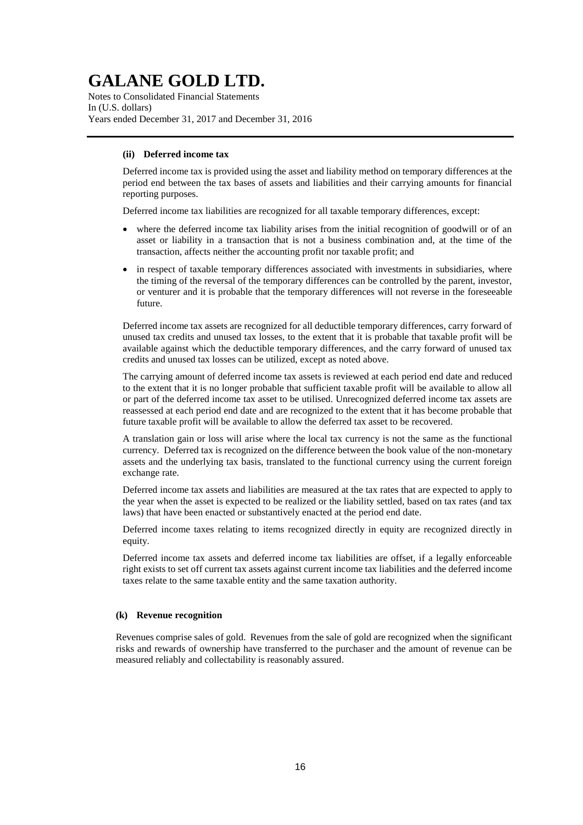Notes to Consolidated Financial Statements In (U.S. dollars) Years ended December 31, 2017 and December 31, 2016

## **(ii) Deferred income tax**

Deferred income tax is provided using the asset and liability method on temporary differences at the period end between the tax bases of assets and liabilities and their carrying amounts for financial reporting purposes.

Deferred income tax liabilities are recognized for all taxable temporary differences, except:

- where the deferred income tax liability arises from the initial recognition of goodwill or of an asset or liability in a transaction that is not a business combination and, at the time of the transaction, affects neither the accounting profit nor taxable profit; and
- in respect of taxable temporary differences associated with investments in subsidiaries, where the timing of the reversal of the temporary differences can be controlled by the parent, investor, or venturer and it is probable that the temporary differences will not reverse in the foreseeable future.

Deferred income tax assets are recognized for all deductible temporary differences, carry forward of unused tax credits and unused tax losses, to the extent that it is probable that taxable profit will be available against which the deductible temporary differences, and the carry forward of unused tax credits and unused tax losses can be utilized, except as noted above.

The carrying amount of deferred income tax assets is reviewed at each period end date and reduced to the extent that it is no longer probable that sufficient taxable profit will be available to allow all or part of the deferred income tax asset to be utilised. Unrecognized deferred income tax assets are reassessed at each period end date and are recognized to the extent that it has become probable that future taxable profit will be available to allow the deferred tax asset to be recovered.

A translation gain or loss will arise where the local tax currency is not the same as the functional currency. Deferred tax is recognized on the difference between the book value of the non-monetary assets and the underlying tax basis, translated to the functional currency using the current foreign exchange rate.

Deferred income tax assets and liabilities are measured at the tax rates that are expected to apply to the year when the asset is expected to be realized or the liability settled, based on tax rates (and tax laws) that have been enacted or substantively enacted at the period end date.

Deferred income taxes relating to items recognized directly in equity are recognized directly in equity.

Deferred income tax assets and deferred income tax liabilities are offset, if a legally enforceable right exists to set off current tax assets against current income tax liabilities and the deferred income taxes relate to the same taxable entity and the same taxation authority.

## **(k) Revenue recognition**

Revenues comprise sales of gold. Revenues from the sale of gold are recognized when the significant risks and rewards of ownership have transferred to the purchaser and the amount of revenue can be measured reliably and collectability is reasonably assured.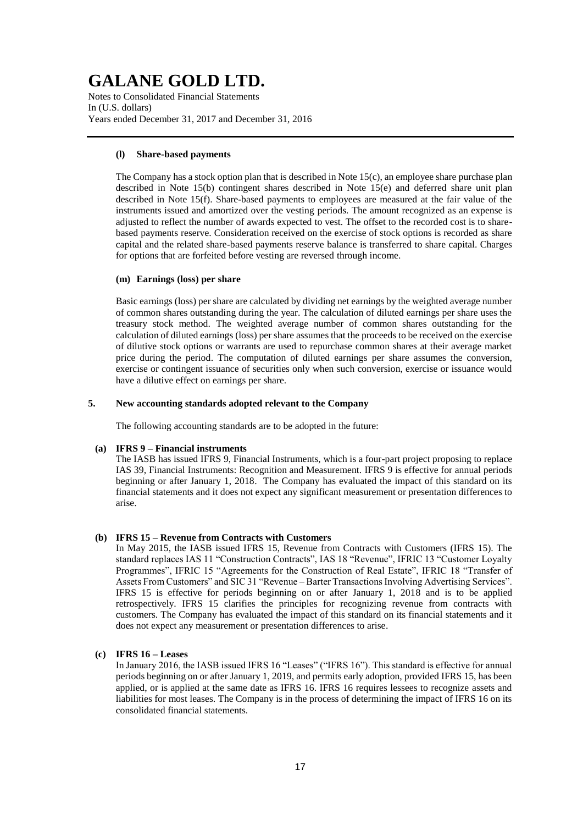Notes to Consolidated Financial Statements In (U.S. dollars) Years ended December 31, 2017 and December 31, 2016

## **(l) Share-based payments**

The Company has a stock option plan that is described in Note 15(c), an employee share purchase plan described in Note 15(b) contingent shares described in Note 15(e) and deferred share unit plan described in Note 15(f). Share-based payments to employees are measured at the fair value of the instruments issued and amortized over the vesting periods. The amount recognized as an expense is adjusted to reflect the number of awards expected to vest. The offset to the recorded cost is to sharebased payments reserve. Consideration received on the exercise of stock options is recorded as share capital and the related share-based payments reserve balance is transferred to share capital. Charges for options that are forfeited before vesting are reversed through income.

### **(m) Earnings (loss) per share**

Basic earnings (loss) per share are calculated by dividing net earnings by the weighted average number of common shares outstanding during the year. The calculation of diluted earnings per share uses the treasury stock method. The weighted average number of common shares outstanding for the calculation of diluted earnings (loss) per share assumes that the proceeds to be received on the exercise of dilutive stock options or warrants are used to repurchase common shares at their average market price during the period. The computation of diluted earnings per share assumes the conversion, exercise or contingent issuance of securities only when such conversion, exercise or issuance would have a dilutive effect on earnings per share.

## **5. New accounting standards adopted relevant to the Company**

The following accounting standards are to be adopted in the future:

## **(a) IFRS 9 – Financial instruments**

The IASB has issued IFRS 9, Financial Instruments, which is a four-part project proposing to replace IAS 39, Financial Instruments: Recognition and Measurement. IFRS 9 is effective for annual periods beginning or after January 1, 2018. The Company has evaluated the impact of this standard on its financial statements and it does not expect any significant measurement or presentation differences to arise.

## **(b) IFRS 15 – Revenue from Contracts with Customers**

In May 2015, the IASB issued IFRS 15, Revenue from Contracts with Customers (IFRS 15). The standard replaces IAS 11 "Construction Contracts", IAS 18 "Revenue", IFRIC 13 "Customer Loyalty Programmes", IFRIC 15 "Agreements for the Construction of Real Estate", IFRIC 18 "Transfer of Assets From Customers" and SIC 31 "Revenue – Barter Transactions Involving Advertising Services". IFRS 15 is effective for periods beginning on or after January 1, 2018 and is to be applied retrospectively. IFRS 15 clarifies the principles for recognizing revenue from contracts with customers. The Company has evaluated the impact of this standard on its financial statements and it does not expect any measurement or presentation differences to arise.

## **(c) IFRS 16 – Leases**

In January 2016, the IASB issued IFRS 16 "Leases" ("IFRS 16"). This standard is effective for annual periods beginning on or after January 1, 2019, and permits early adoption, provided IFRS 15, has been applied, or is applied at the same date as IFRS 16. IFRS 16 requires lessees to recognize assets and liabilities for most leases. The Company is in the process of determining the impact of IFRS 16 on its consolidated financial statements.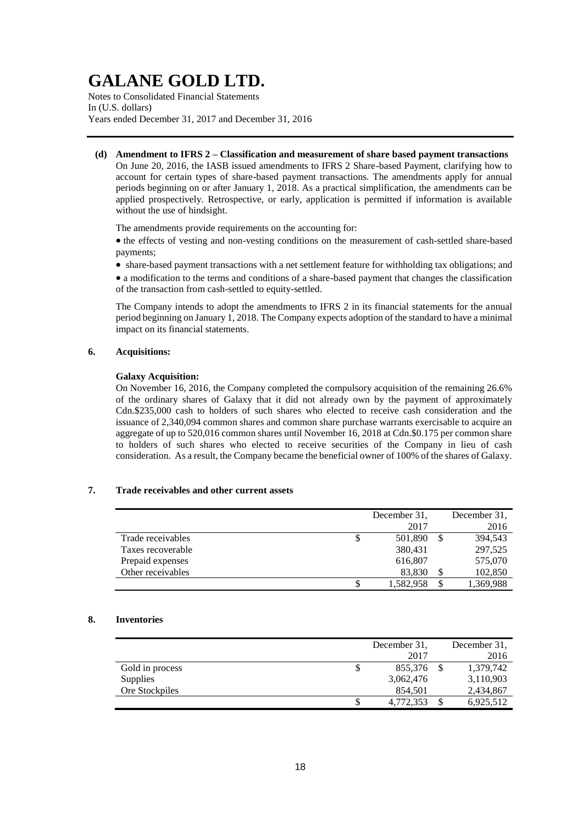Notes to Consolidated Financial Statements In (U.S. dollars) Years ended December 31, 2017 and December 31, 2016

**(d) Amendment to IFRS 2 – Classification and measurement of share based payment transactions** On June 20, 2016, the IASB issued amendments to IFRS 2 Share-based Payment, clarifying how to account for certain types of share-based payment transactions. The amendments apply for annual periods beginning on or after January 1, 2018. As a practical simplification, the amendments can be applied prospectively. Retrospective, or early, application is permitted if information is available without the use of hindsight.

The amendments provide requirements on the accounting for:

 the effects of vesting and non-vesting conditions on the measurement of cash-settled share-based payments;

share-based payment transactions with a net settlement feature for withholding tax obligations; and

 a modification to the terms and conditions of a share-based payment that changes the classification of the transaction from cash-settled to equity-settled.

The Company intends to adopt the amendments to IFRS 2 in its financial statements for the annual period beginning on January 1, 2018. The Company expects adoption of the standard to have a minimal impact on its financial statements.

### **6. Acquisitions:**

### **Galaxy Acquisition:**

On November 16, 2016, the Company completed the compulsory acquisition of the remaining 26.6% of the ordinary shares of Galaxy that it did not already own by the payment of approximately Cdn.\$235,000 cash to holders of such shares who elected to receive cash consideration and the issuance of 2,340,094 common shares and common share purchase warrants exercisable to acquire an aggregate of up to 520,016 common shares until November 16, 2018 at Cdn.\$0.175 per common share to holders of such shares who elected to receive securities of the Company in lieu of cash consideration. As a result, the Company became the beneficial owner of 100% of the shares of Galaxy.

## **7. Trade receivables and other current assets**

|                   | December 31,  | December 31, |
|-------------------|---------------|--------------|
|                   | 2017          | 2016         |
| Trade receivables | \$<br>501,890 | 394,543      |
| Taxes recoverable | 380,431       | 297,525      |
| Prepaid expenses  | 616,807       | 575,070      |
| Other receivables | 83,830        | 102,850      |
|                   | 1,582,958     | 1,369,988    |

### **8. Inventories**

|                 |   | December 31. | December 31. |
|-----------------|---|--------------|--------------|
|                 |   | 2017         | 2016         |
| Gold in process | S | 855,376      | 1,379,742    |
| <b>Supplies</b> |   | 3,062,476    | 3,110,903    |
| Ore Stockpiles  |   | 854.501      | 2,434,867    |
|                 |   | 4,772,353    | 6,925,512    |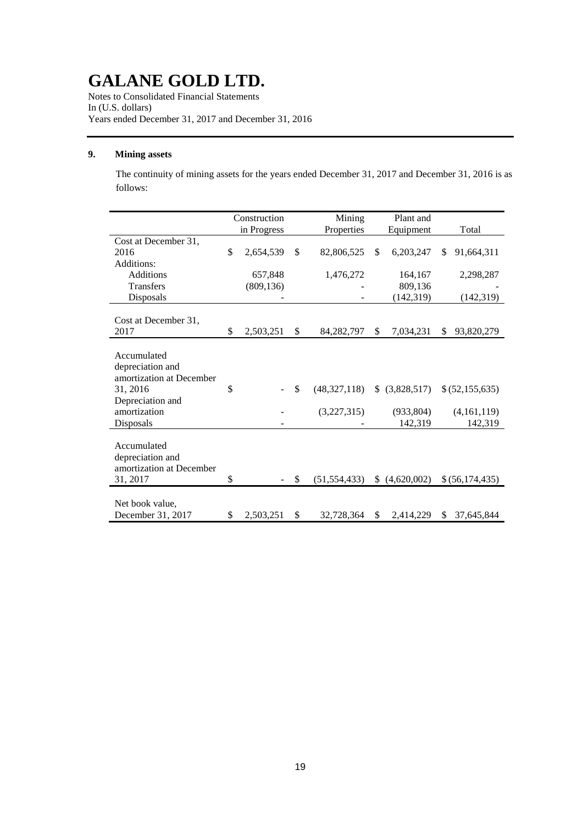Notes to Consolidated Financial Statements In (U.S. dollars) Years ended December 31, 2017 and December 31, 2016

## **9. Mining assets**

The continuity of mining assets for the years ended December 31, 2017 and December 31, 2016 is as follows:

|                                                                                                                          | Construction    | Mining                            | Plant and                               |                                             |
|--------------------------------------------------------------------------------------------------------------------------|-----------------|-----------------------------------|-----------------------------------------|---------------------------------------------|
|                                                                                                                          | in Progress     | Properties                        | Equipment                               | Total                                       |
| Cost at December 31,                                                                                                     |                 |                                   |                                         |                                             |
| 2016                                                                                                                     | \$<br>2,654,539 | \$<br>82,806,525                  | \$<br>6,203,247                         | \$<br>91,664,311                            |
| Additions:                                                                                                               |                 |                                   |                                         |                                             |
| <b>Additions</b>                                                                                                         | 657,848         | 1,476,272                         | 164,167                                 | 2,298,287                                   |
| <b>Transfers</b>                                                                                                         | (809, 136)      |                                   | 809,136                                 |                                             |
| Disposals                                                                                                                |                 |                                   | (142, 319)                              | (142, 319)                                  |
|                                                                                                                          |                 |                                   |                                         |                                             |
| Cost at December 31,                                                                                                     |                 |                                   |                                         |                                             |
| 2017                                                                                                                     | \$<br>2,503,251 | \$<br>84,282,797                  | \$<br>7,034,231                         | \$<br>93,820,279                            |
| Accumulated<br>depreciation and<br>amortization at December<br>31, 2016<br>Depreciation and<br>amortization<br>Disposals | \$              | \$<br>(48,327,118)<br>(3,227,315) | \$ (3,828,517)<br>(933, 804)<br>142,319 | \$ (52, 155, 635)<br>(4,161,119)<br>142,319 |
| Accumulated<br>depreciation and<br>amortization at December<br>31, 2017                                                  | \$              | \$<br>(51, 554, 433)              | (4,620,002)                             | \$(56,174,435)                              |
| Net book value,<br>December 31, 2017                                                                                     | \$<br>2,503,251 | \$<br>32,728,364                  | \$<br>2,414,229                         | \$<br>37,645,844                            |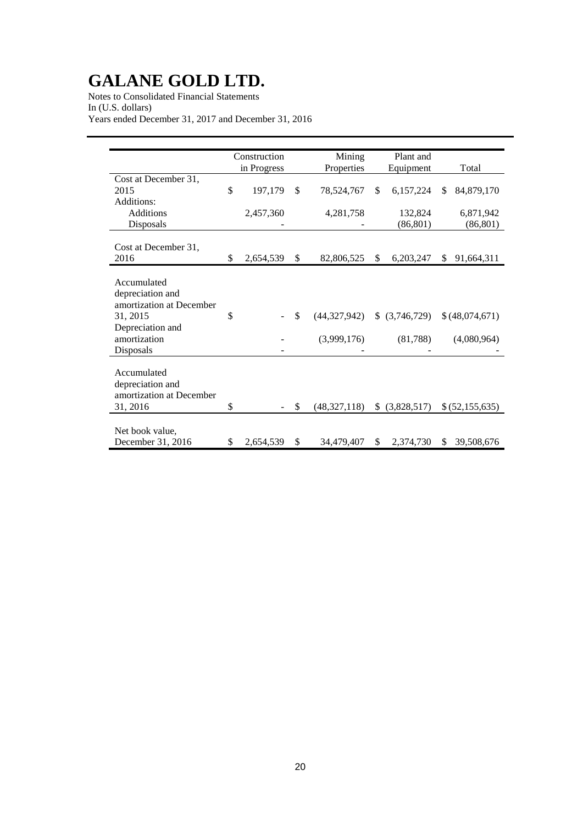Notes to Consolidated Financial Statements In (U.S. dollars) Years ended December 31, 2017 and December 31, 2016

|                                 | Construction    | Mining             | Plant and         |    |                 |
|---------------------------------|-----------------|--------------------|-------------------|----|-----------------|
|                                 | in Progress     | Properties         | Equipment         |    | Total           |
| Cost at December 31,            |                 |                    |                   |    |                 |
| 2015                            | \$<br>197,179   | \$<br>78,524,767   | \$<br>6,157,224   | \$ | 84,879,170      |
| Additions:                      |                 |                    |                   |    |                 |
| <b>Additions</b>                | 2,457,360       | 4,281,758          | 132,824           |    | 6,871,942       |
| Disposals                       |                 |                    | (86, 801)         |    | (86, 801)       |
|                                 |                 |                    |                   |    |                 |
| Cost at December 31,            |                 |                    |                   |    |                 |
| 2016                            | \$<br>2,654,539 | \$<br>82,806,525   | \$<br>6,203,247   | S. | 91,664,311      |
|                                 |                 |                    |                   |    |                 |
| Accumulated<br>depreciation and |                 |                    |                   |    |                 |
| amortization at December        |                 |                    |                   |    |                 |
| 31, 2015                        | \$              | \$<br>(44,327,942) | $$$ $(3,746,729)$ |    | \$(48,074,671)  |
| Depreciation and                |                 |                    |                   |    |                 |
| amortization                    |                 | (3,999,176)        | (81,788)          |    | (4,080,964)     |
| Disposals                       |                 |                    |                   |    |                 |
|                                 |                 |                    |                   |    |                 |
| Accumulated                     |                 |                    |                   |    |                 |
| depreciation and                |                 |                    |                   |    |                 |
| amortization at December        |                 |                    |                   |    |                 |
| 31, 2016                        | \$              | \$<br>(48,327,118) | \$ (3,828,517)    |    | \$ (52,155,635) |
|                                 |                 |                    |                   |    |                 |
| Net book value,                 |                 |                    |                   |    |                 |
| December 31, 2016               | \$<br>2,654,539 | \$<br>34,479,407   | \$<br>2,374,730   | \$ | 39,508,676      |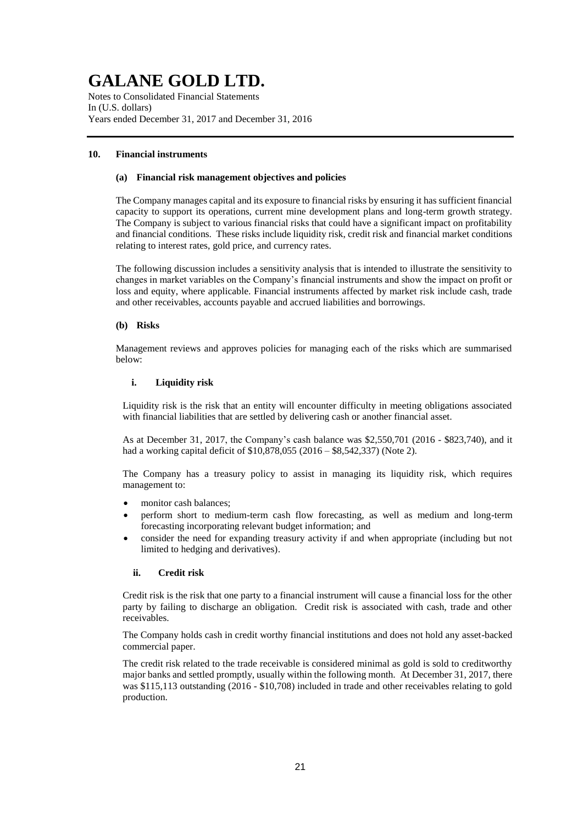Notes to Consolidated Financial Statements In (U.S. dollars) Years ended December 31, 2017 and December 31, 2016

## **10. Financial instruments**

### **(a) Financial risk management objectives and policies**

The Company manages capital and its exposure to financial risks by ensuring it has sufficient financial capacity to support its operations, current mine development plans and long-term growth strategy. The Company is subject to various financial risks that could have a significant impact on profitability and financial conditions. These risks include liquidity risk, credit risk and financial market conditions relating to interest rates, gold price, and currency rates.

The following discussion includes a sensitivity analysis that is intended to illustrate the sensitivity to changes in market variables on the Company's financial instruments and show the impact on profit or loss and equity, where applicable. Financial instruments affected by market risk include cash, trade and other receivables, accounts payable and accrued liabilities and borrowings.

### **(b) Risks**

Management reviews and approves policies for managing each of the risks which are summarised below:

## **i. Liquidity risk**

Liquidity risk is the risk that an entity will encounter difficulty in meeting obligations associated with financial liabilities that are settled by delivering cash or another financial asset.

As at December 31, 2017, the Company's cash balance was \$2,550,701 (2016 - \$823,740), and it had a working capital deficit of \$10,878,055 (2016 – \$8,542,337) (Note 2).

The Company has a treasury policy to assist in managing its liquidity risk, which requires management to:

- monitor cash balances;
- perform short to medium-term cash flow forecasting, as well as medium and long-term forecasting incorporating relevant budget information; and
- consider the need for expanding treasury activity if and when appropriate (including but not limited to hedging and derivatives).

## **ii. Credit risk**

Credit risk is the risk that one party to a financial instrument will cause a financial loss for the other party by failing to discharge an obligation. Credit risk is associated with cash, trade and other receivables.

The Company holds cash in credit worthy financial institutions and does not hold any asset-backed commercial paper.

The credit risk related to the trade receivable is considered minimal as gold is sold to creditworthy major banks and settled promptly, usually within the following month. At December 31, 2017, there was \$115,113 outstanding (2016 - \$10,708) included in trade and other receivables relating to gold production.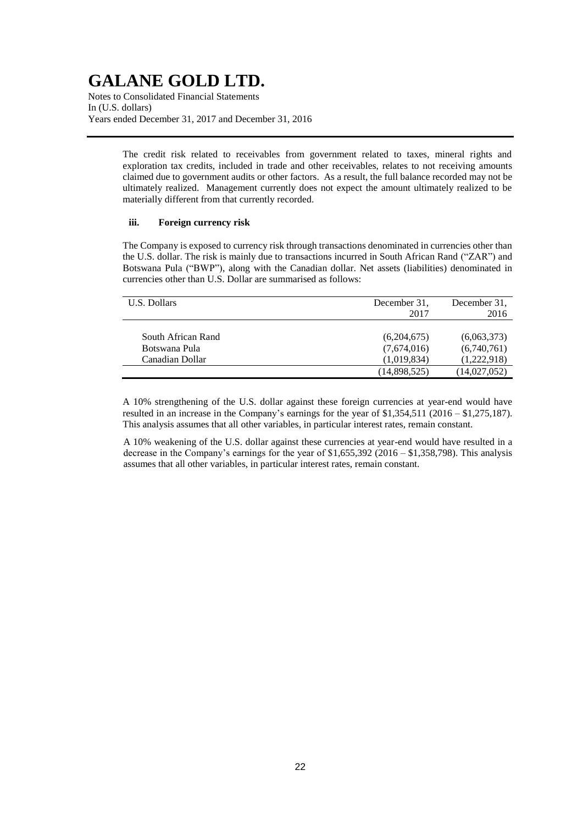Notes to Consolidated Financial Statements In (U.S. dollars) Years ended December 31, 2017 and December 31, 2016

> The credit risk related to receivables from government related to taxes, mineral rights and exploration tax credits, included in trade and other receivables, relates to not receiving amounts claimed due to government audits or other factors. As a result, the full balance recorded may not be ultimately realized. Management currently does not expect the amount ultimately realized to be materially different from that currently recorded.

## **iii. Foreign currency risk**

The Company is exposed to currency risk through transactions denominated in currencies other than the U.S. dollar. The risk is mainly due to transactions incurred in South African Rand ("ZAR") and Botswana Pula ("BWP"), along with the Canadian dollar. Net assets (liabilities) denominated in currencies other than U.S. Dollar are summarised as follows:

| U.S. Dollars                                           | December 31.<br>2017                      | December 31.<br>2016                      |
|--------------------------------------------------------|-------------------------------------------|-------------------------------------------|
| South African Rand<br>Botswana Pula<br>Canadian Dollar | (6,204,675)<br>(7,674,016)<br>(1,019,834) | (6,063,373)<br>(6,740,761)<br>(1,222,918) |
|                                                        | (14,898,525)                              | (14,027,052)                              |

A 10% strengthening of the U.S. dollar against these foreign currencies at year-end would have resulted in an increase in the Company's earnings for the year of \$1,354,511 (2016 – \$1,275,187). This analysis assumes that all other variables, in particular interest rates, remain constant.

A 10% weakening of the U.S. dollar against these currencies at year-end would have resulted in a decrease in the Company's earnings for the year of \$1,655,392 (2016 – \$1,358,798). This analysis assumes that all other variables, in particular interest rates, remain constant.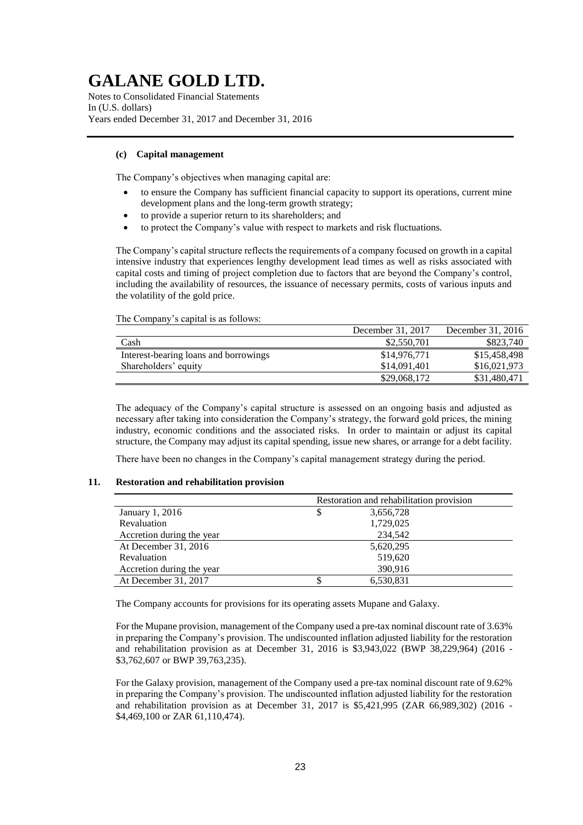Notes to Consolidated Financial Statements In (U.S. dollars) Years ended December 31, 2017 and December 31, 2016

## **(c) Capital management**

The Company's objectives when managing capital are:

- to ensure the Company has sufficient financial capacity to support its operations, current mine development plans and the long-term growth strategy;
- to provide a superior return to its shareholders; and
- to protect the Company's value with respect to markets and risk fluctuations.

The Company's capital structure reflects the requirements of a company focused on growth in a capital intensive industry that experiences lengthy development lead times as well as risks associated with capital costs and timing of project completion due to factors that are beyond the Company's control, including the availability of resources, the issuance of necessary permits, costs of various inputs and the volatility of the gold price.

The Company's capital is as follows:

|                                       | December 31, 2017 | December 31, 2016 |
|---------------------------------------|-------------------|-------------------|
| Cash                                  | \$2,550,701       | \$823,740         |
| Interest-bearing loans and borrowings | \$14,976,771      | \$15,458,498      |
| Shareholders' equity                  | \$14,091,401      | \$16,021,973      |
|                                       | \$29,068,172      | \$31,480,471      |

The adequacy of the Company's capital structure is assessed on an ongoing basis and adjusted as necessary after taking into consideration the Company's strategy, the forward gold prices, the mining industry, economic conditions and the associated risks. In order to maintain or adjust its capital structure, the Company may adjust its capital spending, issue new shares, or arrange for a debt facility.

There have been no changes in the Company's capital management strategy during the period.

## **11. Restoration and rehabilitation provision**

|                           | Restoration and rehabilitation provision |
|---------------------------|------------------------------------------|
| January 1, 2016           | \$<br>3,656,728                          |
| Revaluation               | 1,729,025                                |
| Accretion during the year | 234,542                                  |
| At December 31, 2016      | 5,620,295                                |
| Revaluation               | 519,620                                  |
| Accretion during the year | 390,916                                  |
| At December 31, 2017      | 6,530,831                                |

The Company accounts for provisions for its operating assets Mupane and Galaxy.

For the Mupane provision, management of the Company used a pre-tax nominal discount rate of 3.63% in preparing the Company's provision. The undiscounted inflation adjusted liability for the restoration and rehabilitation provision as at December 31, 2016 is \$3,943,022 (BWP 38,229,964) (2016 - \$3,762,607 or BWP 39,763,235).

For the Galaxy provision, management of the Company used a pre-tax nominal discount rate of 9.62% in preparing the Company's provision. The undiscounted inflation adjusted liability for the restoration and rehabilitation provision as at December 31, 2017 is \$5,421,995 (ZAR 66,989,302) (2016 - \$4,469,100 or ZAR 61,110,474).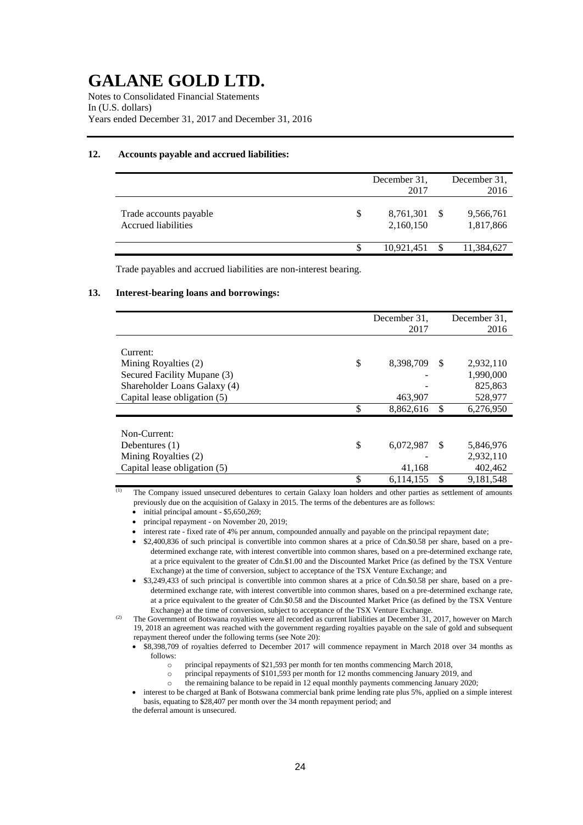Notes to Consolidated Financial Statements In (U.S. dollars) Years ended December 31, 2017 and December 31, 2016

## **12. Accounts payable and accrued liabilities:**

|                                               |   | December 31.<br>2017   | December 31.<br>2016   |
|-----------------------------------------------|---|------------------------|------------------------|
| Trade accounts payable<br>Accrued liabilities | S | 8,761,301<br>2,160,150 | 9,566,761<br>1,817,866 |
|                                               |   | 10,921,451             | 11,384,627             |

Trade payables and accrued liabilities are non-interest bearing.

#### **13. Interest-bearing loans and borrowings:**

|                              | December 31,    |               | December 31. |
|------------------------------|-----------------|---------------|--------------|
|                              | 2017            |               | 2016         |
|                              |                 |               |              |
| Current:                     |                 |               |              |
| Mining Royalties (2)         | \$<br>8,398,709 | S             | 2,932,110    |
| Secured Facility Mupane (3)  |                 |               | 1,990,000    |
| Shareholder Loans Galaxy (4) |                 |               | 825,863      |
| Capital lease obligation (5) | 463,907         |               | 528,977      |
|                              | \$<br>8,862,616 | \$            | 6,276,950    |
|                              |                 |               |              |
| Non-Current:                 |                 |               |              |
| Debentures $(1)$             | \$<br>6,072,987 | <sup>\$</sup> | 5,846,976    |
| Mining Royalties (2)         |                 |               | 2,932,110    |
| Capital lease obligation (5) | 41,168          |               | 402,462      |
|                              | \$<br>6,114,155 | \$            | 9,181,548    |

The Company issued unsecured debentures to certain Galaxy loan holders and other parties as settlement of amounts previously due on the acquisition of Galaxy in 2015. The terms of the debentures are as follows:

- $\bullet$  initial principal amount \$5,650,269;
- principal repayment on November 20, 2019;

interest rate - fixed rate of 4% per annum, compounded annually and payable on the principal repayment date;

- \$2,400,836 of such principal is convertible into common shares at a price of Cdn.\$0.58 per share, based on a predetermined exchange rate, with interest convertible into common shares, based on a pre-determined exchange rate, at a price equivalent to the greater of Cdn.\$1.00 and the Discounted Market Price (as defined by the TSX Venture Exchange) at the time of conversion, subject to acceptance of the TSX Venture Exchange; and
- \$3,249,433 of such principal is convertible into common shares at a price of Cdn.\$0.58 per share, based on a predetermined exchange rate, with interest convertible into common shares, based on a pre-determined exchange rate, at a price equivalent to the greater of Cdn.\$0.58 and the Discounted Market Price (as defined by the TSX Venture Exchange) at the time of conversion, subject to acceptance of the TSX Venture Exchange.

<sup>(2)</sup> The Government of Botswana royalties were all recorded as current liabilities at December 31, 2017, however on March 19, 2018 an agreement was reached with the government regarding royalties payable on the sale of gold and subsequent repayment thereof under the following terms (see Note 20):

 \$8,398,709 of royalties deferred to December 2017 will commence repayment in March 2018 over 34 months as follows:

- o principal repayments of \$21,593 per month for ten months commencing March 2018,
- o principal repayments of \$101,593 per month for 12 months commencing January 2019, and
- o the remaining balance to be repaid in 12 equal monthly payments commencing January 2020;

 interest to be charged at Bank of Botswana commercial bank prime lending rate plus 5%, applied on a simple interest basis, equating to \$28,407 per month over the 34 month repayment period; and the deferral amount is unsecured.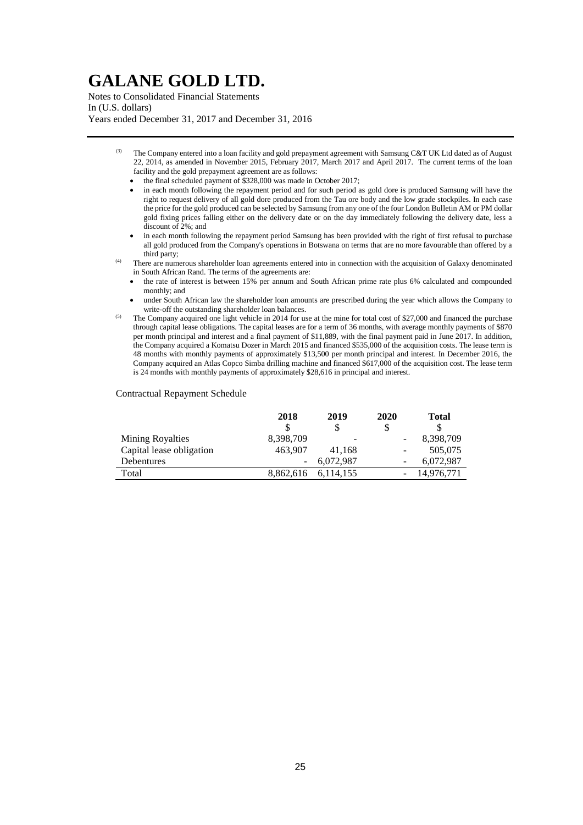Notes to Consolidated Financial Statements In (U.S. dollars) Years ended December 31, 2017 and December 31, 2016

- The Company entered into a loan facility and gold prepayment agreement with Samsung C&T UK Ltd dated as of August 22, 2014, as amended in November 2015, February 2017, March 2017 and April 2017. The current terms of the loan facility and the gold prepayment agreement are as follows:
	- the final scheduled payment of \$328,000 was made in October 2017;
	- in each month following the repayment period and for such period as gold dore is produced Samsung will have the right to request delivery of all gold dore produced from the Tau ore body and the low grade stockpiles. In each case the price for the gold produced can be selected by Samsung from any one of the four London Bulletin AM or PM dollar gold fixing prices falling either on the delivery date or on the day immediately following the delivery date, less a discount of 2%; and
- in each month following the repayment period Samsung has been provided with the right of first refusal to purchase all gold produced from the Company's operations in Botswana on terms that are no more favourable than offered by a third party;
- There are numerous shareholder loan agreements entered into in connection with the acquisition of Galaxy denominated in South African Rand. The terms of the agreements are:
	- the rate of interest is between 15% per annum and South African prime rate plus 6% calculated and compounded monthly; and
	- under South African law the shareholder loan amounts are prescribed during the year which allows the Company to write-off the outstanding shareholder loan balances.
- The Company acquired one light vehicle in 2014 for use at the mine for total cost of \$27,000 and financed the purchase through capital lease obligations. The capital leases are for a term of 36 months, with average monthly payments of \$870 per month principal and interest and a final payment of \$11,889, with the final payment paid in June 2017. In addition, the Company acquired a Komatsu Dozer in March 2015 and financed \$535,000 of the acquisition costs. The lease term is 48 months with monthly payments of approximately \$13,500 per month principal and interest. In December 2016, the Company acquired an Atlas Copco Simba drilling machine and financed \$617,000 of the acquisition cost. The lease term is 24 months with monthly payments of approximately \$28,616 in principal and interest.

#### Contractual Repayment Schedule

|                          | 2018      | 2019      | 2020 | Total      |
|--------------------------|-----------|-----------|------|------------|
|                          |           |           | \$   | \$         |
| <b>Mining Royalties</b>  | 8,398,709 |           |      | 8,398,709  |
| Capital lease obligation | 463.907   | 41.168    | -    | 505,075    |
| <b>Debentures</b>        |           | 6.072.987 |      | 6.072.987  |
| Total                    | 8.862.616 | 6.114.155 |      | 14.976.771 |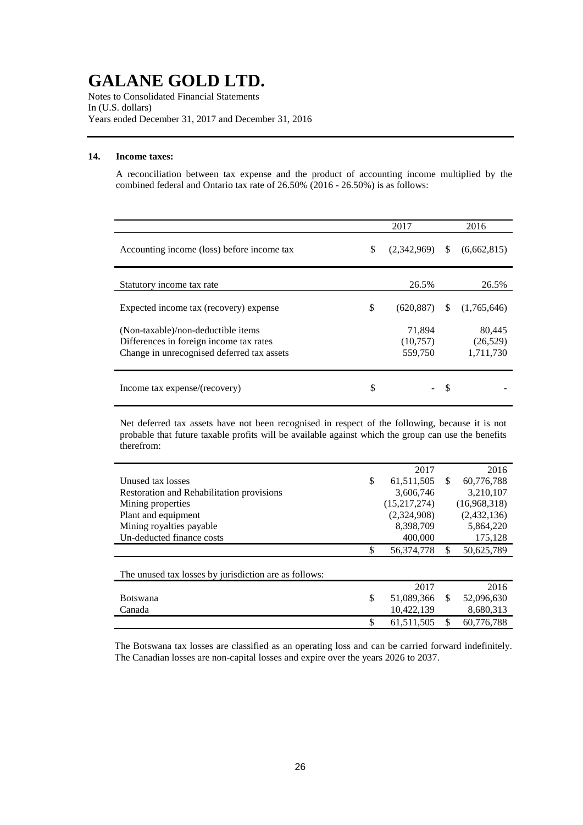Notes to Consolidated Financial Statements In (U.S. dollars) Years ended December 31, 2017 and December 31, 2016

## **14. Income taxes:**

A reconciliation between tax expense and the product of accounting income multiplied by the combined federal and Ontario tax rate of 26.50% (2016 - 26.50%) is as follows:

|                                                                                                                             | 2017                          |               | 2016                             |
|-----------------------------------------------------------------------------------------------------------------------------|-------------------------------|---------------|----------------------------------|
| Accounting income (loss) before income tax                                                                                  | \$<br>(2,342,969)             | <sup>\$</sup> | (6,662,815)                      |
| Statutory income tax rate                                                                                                   | 26.5%                         |               | 26.5%                            |
| Expected income tax (recovery) expense                                                                                      | \$<br>(620, 887)              | \$.           | (1,765,646)                      |
| (Non-taxable)/non-deductible items<br>Differences in foreign income tax rates<br>Change in unrecognised deferred tax assets | 71,894<br>(10,757)<br>559,750 |               | 80,445<br>(26, 529)<br>1,711,730 |
| Income tax expense/(recovery)                                                                                               | \$                            | S             |                                  |

Net deferred tax assets have not been recognised in respect of the following, because it is not probable that future taxable profits will be available against which the group can use the benefits therefrom:

|                                                       | 2017             |     | 2016         |
|-------------------------------------------------------|------------------|-----|--------------|
| Unused tax losses                                     | \$<br>61,511,505 | \$. | 60,776,788   |
| Restoration and Rehabilitation provisions             | 3,606,746        |     | 3,210,107    |
| Mining properties                                     | (15,217,274)     |     | (16,968,318) |
| Plant and equipment                                   | (2,324,908)      |     | (2,432,136)  |
| Mining royalties payable                              | 8,398,709        |     | 5,864,220    |
| Un-deducted finance costs                             | 400,000          |     | 175,128      |
|                                                       | \$<br>56,374,778 | \$  | 50,625,789   |
|                                                       |                  |     |              |
| The unused tax losses by jurisdiction are as follows: |                  |     |              |
|                                                       | 2017             |     | 2016         |
| <b>Botswana</b>                                       | \$<br>51,089,366 | \$. | 52,096,630   |
| Canada                                                | 10,422,139       |     | 8,680,313    |
|                                                       | \$<br>61.511.505 | \$  | 60.776.788   |

The Botswana tax losses are classified as an operating loss and can be carried forward indefinitely. The Canadian losses are non-capital losses and expire over the years 2026 to 2037.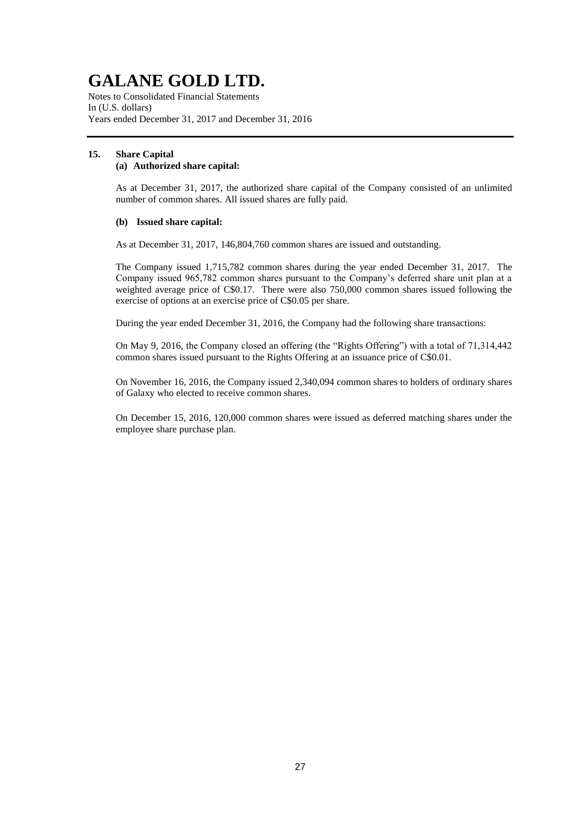Notes to Consolidated Financial Statements In (U.S. dollars) Years ended December 31, 2017 and December 31, 2016

### **15. Share Capital (a) Authorized share capital:**

As at December 31, 2017, the authorized share capital of the Company consisted of an unlimited number of common shares. All issued shares are fully paid.

## **(b) Issued share capital:**

As at December 31, 2017, 146,804,760 common shares are issued and outstanding.

The Company issued 1,715,782 common shares during the year ended December 31, 2017. The Company issued 965,782 common shares pursuant to the Company's deferred share unit plan at a weighted average price of C\$0.17. There were also 750,000 common shares issued following the exercise of options at an exercise price of C\$0.05 per share.

During the year ended December 31, 2016, the Company had the following share transactions:

On May 9, 2016, the Company closed an offering (the "Rights Offering") with a total of 71,314,442 common shares issued pursuant to the Rights Offering at an issuance price of C\$0.01.

On November 16, 2016, the Company issued 2,340,094 common shares to holders of ordinary shares of Galaxy who elected to receive common shares.

On December 15, 2016, 120,000 common shares were issued as deferred matching shares under the employee share purchase plan.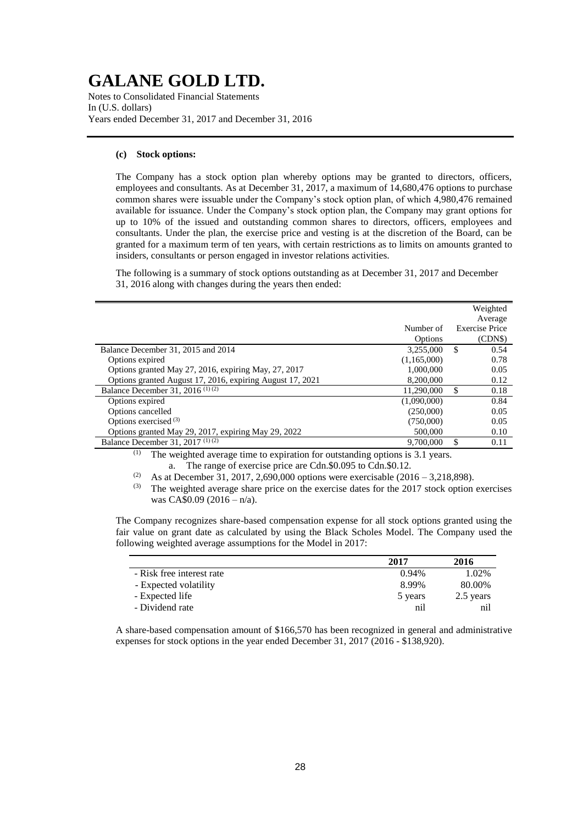Notes to Consolidated Financial Statements In (U.S. dollars) Years ended December 31, 2017 and December 31, 2016

## **(c) Stock options:**

The Company has a stock option plan whereby options may be granted to directors, officers, employees and consultants. As at December 31, 2017, a maximum of 14,680,476 options to purchase common shares were issuable under the Company's stock option plan, of which 4,980,476 remained available for issuance. Under the Company's stock option plan, the Company may grant options for up to 10% of the issued and outstanding common shares to directors, officers, employees and consultants. Under the plan, the exercise price and vesting is at the discretion of the Board, can be granted for a maximum term of ten years, with certain restrictions as to limits on amounts granted to insiders, consultants or person engaged in investor relations activities.

The following is a summary of stock options outstanding as at December 31, 2017 and December 31, 2016 along with changes during the years then ended:

|                                                           |                      |    | Weighted<br>Average              |
|-----------------------------------------------------------|----------------------|----|----------------------------------|
|                                                           | Number of<br>Options |    | <b>Exercise Price</b><br>(CDN\$) |
| Balance December 31, 2015 and 2014                        | 3,255,000            | \$ | 0.54                             |
| Options expired                                           | (1,165,000)          |    | 0.78                             |
| Options granted May 27, 2016, expiring May, 27, 2017      | 1.000.000            |    | 0.05                             |
| Options granted August 17, 2016, expiring August 17, 2021 | 8.200.000            |    | 0.12                             |
| Balance December 31, 2016 <sup>(1)(2)</sup>               | 11,290,000           | S  | 0.18                             |
| Options expired                                           | (1,090,000)          |    | 0.84                             |
| Options cancelled                                         | (250,000)            |    | 0.05                             |
| Options exercised $(3)$                                   | (750,000)            |    | 0.05                             |
| Options granted May 29, 2017, expiring May 29, 2022       | 500,000              |    | 0.10                             |
| Balance December 31, $2017^{(1)(2)}$                      | 9,700,000            | \$ | 0.11                             |
|                                                           |                      |    |                                  |

(1) The weighted average time to expiration for outstanding options is 3.1 years. a. The range of exercise price are Cdn.\$0.095 to Cdn.\$0.12.

<sup>(2)</sup> As at December 31, 2017, 2,690,000 options were exercisable (2016 – 3,218,898).

(3) The weighted average share price on the exercise dates for the 2017 stock option exercises was CA\$0.09 (2016 – n/a).

The Company recognizes share-based compensation expense for all stock options granted using the fair value on grant date as calculated by using the Black Scholes Model. The Company used the following weighted average assumptions for the Model in 2017:

|                           | 2017     | 2016      |
|---------------------------|----------|-----------|
| - Risk free interest rate | $0.94\%$ | 1.02%     |
| - Expected volatility     | 8.99%    | 80.00%    |
| - Expected life           | 5 years  | 2.5 years |
| - Dividend rate           | nil      | nıl       |

A share-based compensation amount of \$166,570 has been recognized in general and administrative expenses for stock options in the year ended December 31, 2017 (2016 - \$138,920).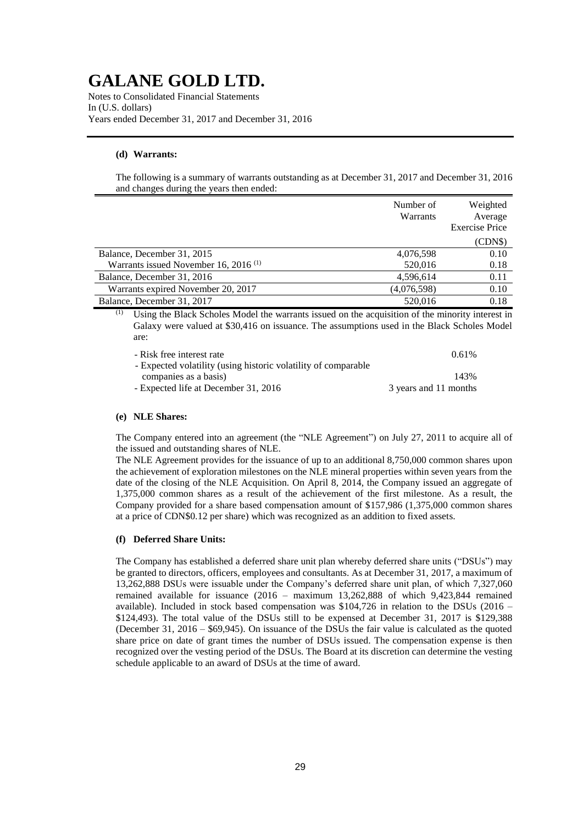Notes to Consolidated Financial Statements In (U.S. dollars) Years ended December 31, 2017 and December 31, 2016

## **(d) Warrants:**

The following is a summary of warrants outstanding as at December 31, 2017 and December 31, 2016 and changes during the years then ended:

|                                         | Number of<br>Warrants | Weighted<br>Average<br><b>Exercise Price</b> |
|-----------------------------------------|-----------------------|----------------------------------------------|
|                                         |                       | (CDN\$)                                      |
| Balance, December 31, 2015              | 4,076,598             | 0.10                                         |
| Warrants issued November 16, 2016 $(1)$ | 520,016               | 0.18                                         |
| Balance, December 31, 2016              | 4,596,614             | 0.11                                         |
| Warrants expired November 20, 2017      | (4,076,598)           | 0.10                                         |
| Balance, December 31, 2017              | 520,016               | 0.18                                         |

(1) Using the Black Scholes Model the warrants issued on the acquisition of the minority interest in Galaxy were valued at \$30,416 on issuance. The assumptions used in the Black Scholes Model are:

| 0.61%                 |
|-----------------------|
|                       |
| 143%                  |
| 3 years and 11 months |
|                       |

### **(e) NLE Shares:**

The Company entered into an agreement (the "NLE Agreement") on July 27, 2011 to acquire all of the issued and outstanding shares of NLE.

The NLE Agreement provides for the issuance of up to an additional 8,750,000 common shares upon the achievement of exploration milestones on the NLE mineral properties within seven years from the date of the closing of the NLE Acquisition. On April 8, 2014, the Company issued an aggregate of 1,375,000 common shares as a result of the achievement of the first milestone. As a result, the Company provided for a share based compensation amount of \$157,986 (1,375,000 common shares at a price of CDN\$0.12 per share) which was recognized as an addition to fixed assets.

## **(f) Deferred Share Units:**

The Company has established a deferred share unit plan whereby deferred share units ("DSUs") may be granted to directors, officers, employees and consultants. As at December 31, 2017, a maximum of 13,262,888 DSUs were issuable under the Company's deferred share unit plan, of which 7,327,060 remained available for issuance (2016 – maximum 13,262,888 of which 9,423,844 remained available). Included in stock based compensation was  $$104,726$  in relation to the DSUs (2016 – \$124,493). The total value of the DSUs still to be expensed at December 31, 2017 is \$129,388 (December 31, 2016 – \$69,945). On issuance of the DSUs the fair value is calculated as the quoted share price on date of grant times the number of DSUs issued. The compensation expense is then recognized over the vesting period of the DSUs. The Board at its discretion can determine the vesting schedule applicable to an award of DSUs at the time of award.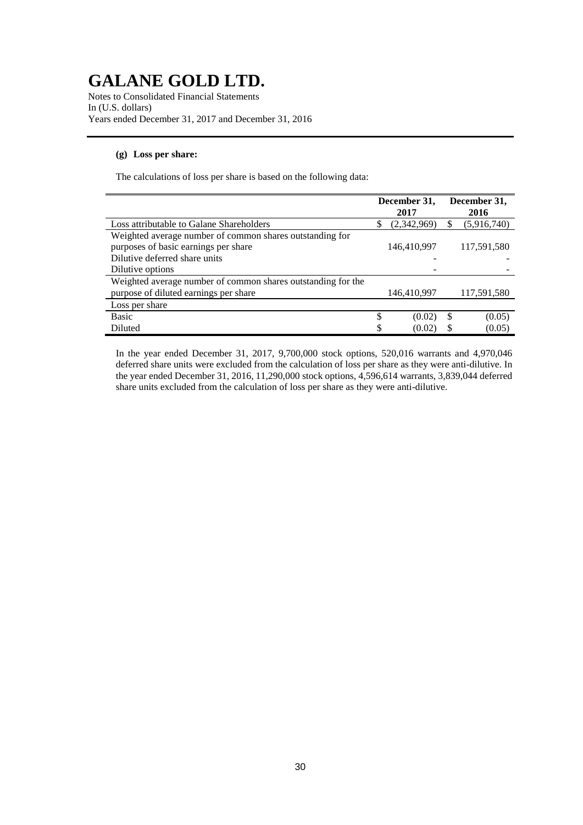Notes to Consolidated Financial Statements In (U.S. dollars) Years ended December 31, 2017 and December 31, 2016

## **(g) Loss per share:**

The calculations of loss per share is based on the following data:

|                                                              | December 31, |             |   | December 31, |  |  |
|--------------------------------------------------------------|--------------|-------------|---|--------------|--|--|
|                                                              |              | 2017        |   | 2016         |  |  |
| Loss attributable to Galane Shareholders                     | S            | (2,342,969) | S | (5,916,740)  |  |  |
| Weighted average number of common shares outstanding for     |              |             |   |              |  |  |
| purposes of basic earnings per share                         |              | 146,410,997 |   | 117,591,580  |  |  |
| Dilutive deferred share units                                |              |             |   |              |  |  |
| Dilutive options                                             |              |             |   |              |  |  |
| Weighted average number of common shares outstanding for the |              |             |   |              |  |  |
| purpose of diluted earnings per share                        |              | 146,410,997 |   | 117,591,580  |  |  |
| Loss per share                                               |              |             |   |              |  |  |
| Basic                                                        | \$           | (0.02)      | S | (0.05)       |  |  |
| Diluted                                                      |              | (0.02)      |   | (0.05)       |  |  |

In the year ended December 31, 2017, 9,700,000 stock options, 520,016 warrants and 4,970,046 deferred share units were excluded from the calculation of loss per share as they were anti-dilutive. In the year ended December 31, 2016, 11,290,000 stock options, 4,596,614 warrants, 3,839,044 deferred share units excluded from the calculation of loss per share as they were anti-dilutive.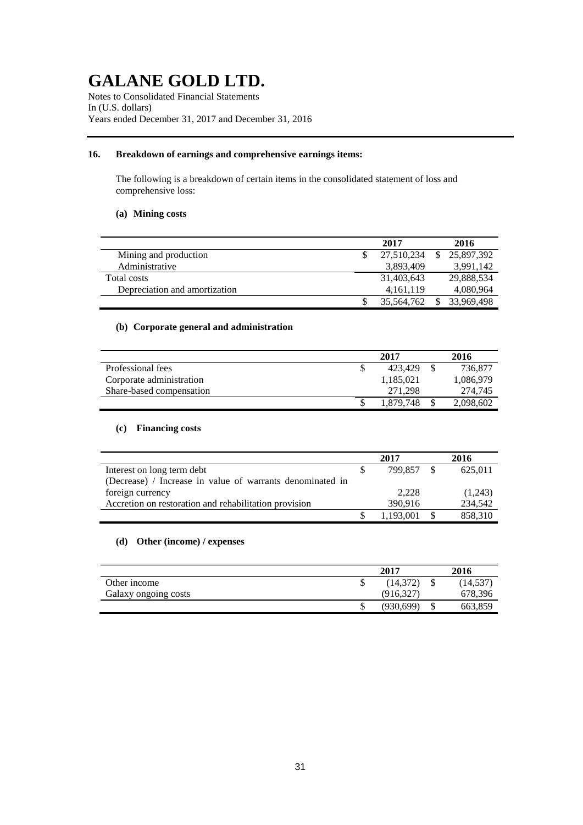Notes to Consolidated Financial Statements In (U.S. dollars) Years ended December 31, 2017 and December 31, 2016

## **16. Breakdown of earnings and comprehensive earnings items:**

The following is a breakdown of certain items in the consolidated statement of loss and comprehensive loss:

## **(a) Mining costs**

|                               | 2017       |     | 2016       |
|-------------------------------|------------|-----|------------|
| Mining and production         | 27.510.234 | \$. | 25,897,392 |
| Administrative                | 3.893.409  |     | 3.991.142  |
| Total costs                   | 31.403.643 |     | 29,888,534 |
| Depreciation and amortization | 4.161.119  |     | 4,080,964  |
|                               | 35,564,762 |     | 33.969.498 |

## **(b) Corporate general and administration**

|                          | 2017 |           |  | 2016      |  |  |
|--------------------------|------|-----------|--|-----------|--|--|
| Professional fees        |      | 423.429   |  | 736.877   |  |  |
| Corporate administration |      | 1,185,021 |  | 1,086,979 |  |  |
| Share-based compensation |      | 271.298   |  | 274,745   |  |  |
|                          |      | 1.879.748 |  | 2,098,602 |  |  |

## **(c) Financing costs**

|                                                           | 2017 |           |  | 2016    |  |
|-----------------------------------------------------------|------|-----------|--|---------|--|
| Interest on long term debt                                |      | 799.857   |  | 625,011 |  |
| (Decrease) / Increase in value of warrants denominated in |      |           |  |         |  |
| foreign currency                                          |      | 2.228     |  | (1,243) |  |
| Accretion on restoration and rehabilitation provision     |      | 390.916   |  | 234.542 |  |
|                                                           |      | 1,193,001 |  | 858,310 |  |

## **(d) Other (income) / expenses**

|                      | 2017 |            |   | 2016      |  |  |
|----------------------|------|------------|---|-----------|--|--|
| Other income         |      | (14,372)   |   | (14, 537) |  |  |
| Galaxy ongoing costs |      | (916, 327) |   | 678,396   |  |  |
|                      |      | (930, 699) | J | 663,859   |  |  |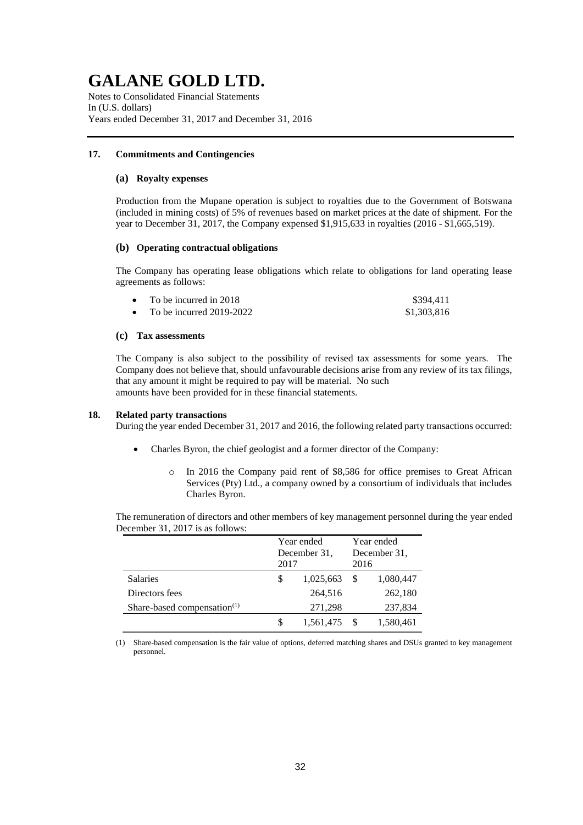Notes to Consolidated Financial Statements In (U.S. dollars) Years ended December 31, 2017 and December 31, 2016

## **17. Commitments and Contingencies**

### **(a) Royalty expenses**

Production from the Mupane operation is subject to royalties due to the Government of Botswana (included in mining costs) of 5% of revenues based on market prices at the date of shipment. For the year to December 31, 2017, the Company expensed \$1,915,633 in royalties (2016 - \$1,665,519).

### **(b) Operating contractual obligations**

The Company has operating lease obligations which relate to obligations for land operating lease agreements as follows:

| To be incurred in 2018     | \$394,411   |
|----------------------------|-------------|
| To be incurred $2019-2022$ | \$1,303,816 |

### **(c) Tax assessments**

The Company is also subject to the possibility of revised tax assessments for some years. The Company does not believe that, should unfavourable decisions arise from any review of its tax filings, that any amount it might be required to pay will be material. No such amounts have been provided for in these financial statements.

#### **18. Related party transactions**

During the year ended December 31, 2017 and 2016, the following related party transactions occurred:

- Charles Byron, the chief geologist and a former director of the Company:
	- o In 2016 the Company paid rent of \$8,586 for office premises to Great African Services (Pty) Ltd., a company owned by a consortium of individuals that includes Charles Byron.

The remuneration of directors and other members of key management personnel during the year ended December 31, 2017 is as follows:

|                                |         | Year ended   | Year ended |              |  |
|--------------------------------|---------|--------------|------------|--------------|--|
|                                |         | December 31, |            | December 31. |  |
|                                | 2017    |              | 2016       |              |  |
| <b>Salaries</b>                | S       | 1,025,663    |            | 1,080,447    |  |
| Directors fees                 |         | 264,516      |            | 262,180      |  |
| Share-based compensation $(1)$ | 271,298 |              |            | 237,834      |  |
|                                |         | 1,561,475    |            | 1,580,461    |  |

(1) Share-based compensation is the fair value of options, deferred matching shares and DSUs granted to key management personnel.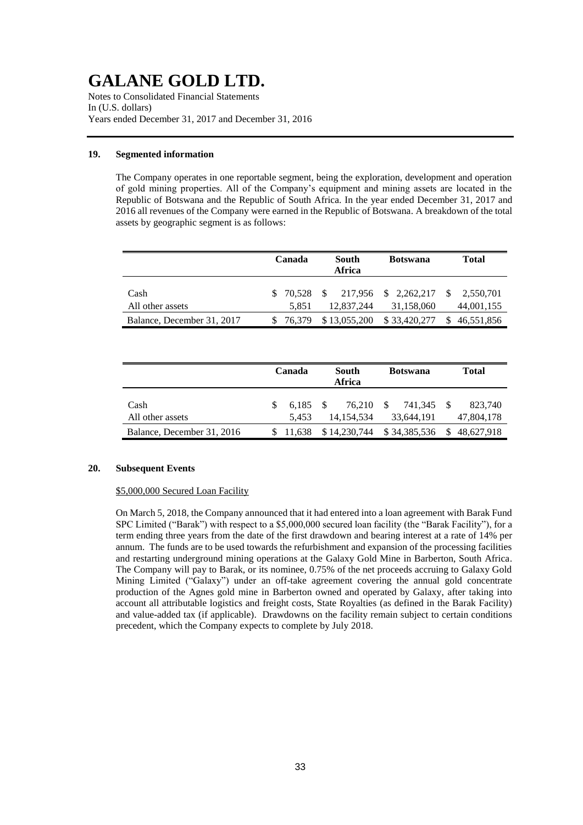Notes to Consolidated Financial Statements In (U.S. dollars) Years ended December 31, 2017 and December 31, 2016

## **19. Segmented information**

The Company operates in one reportable segment, being the exploration, development and operation of gold mining properties. All of the Company's equipment and mining assets are located in the Republic of Botswana and the Republic of South Africa. In the year ended December 31, 2017 and 2016 all revenues of the Company were earned in the Republic of Botswana. A breakdown of the total assets by geographic segment is as follows:

|                            | Canada<br>South<br><b>Botswana</b><br>Africa |              |                                    | <b>Total</b> |
|----------------------------|----------------------------------------------|--------------|------------------------------------|--------------|
| Cash                       | \$ 70.528                                    |              | $$217,956 \$2,262,217 \$2,550,701$ |              |
| All other assets           | 5.851                                        | 12,837,244   | 31,158,060                         | 44,001,155   |
| Balance, December 31, 2017 | 76.379                                       | \$13,055,200 | \$33,420,277                       | \$46,551,856 |

|                            | South<br>Canada<br>Africa |     | <b>Botswana</b>      |     | <b>Total</b>          |               |                       |
|----------------------------|---------------------------|-----|----------------------|-----|-----------------------|---------------|-----------------------|
| Cash<br>All other assets   | 6.185<br>5.453            | - S | 76.210<br>14.154.534 | \$. | 741.345<br>33,644,191 |               | 823.740<br>47,804,178 |
| Balance, December 31, 2016 | \$11.638                  |     | \$14,230,744         |     | \$34,385,536          | <sup>\$</sup> | 48.627.918            |

## **20. Subsequent Events**

## \$5,000,000 Secured Loan Facility

On March 5, 2018, the Company announced that it had entered into a loan agreement with Barak Fund SPC Limited ("Barak") with respect to a \$5,000,000 secured loan facility (the "Barak Facility"), for a term ending three years from the date of the first drawdown and bearing interest at a rate of 14% per annum. The funds are to be used towards the refurbishment and expansion of the processing facilities and restarting underground mining operations at the Galaxy Gold Mine in Barberton, South Africa. The Company will pay to Barak, or its nominee, 0.75% of the net proceeds accruing to Galaxy Gold Mining Limited ("Galaxy") under an off-take agreement covering the annual gold concentrate production of the Agnes gold mine in Barberton owned and operated by Galaxy, after taking into account all attributable logistics and freight costs, State Royalties (as defined in the Barak Facility) and value-added tax (if applicable). Drawdowns on the facility remain subject to certain conditions precedent, which the Company expects to complete by July 2018.